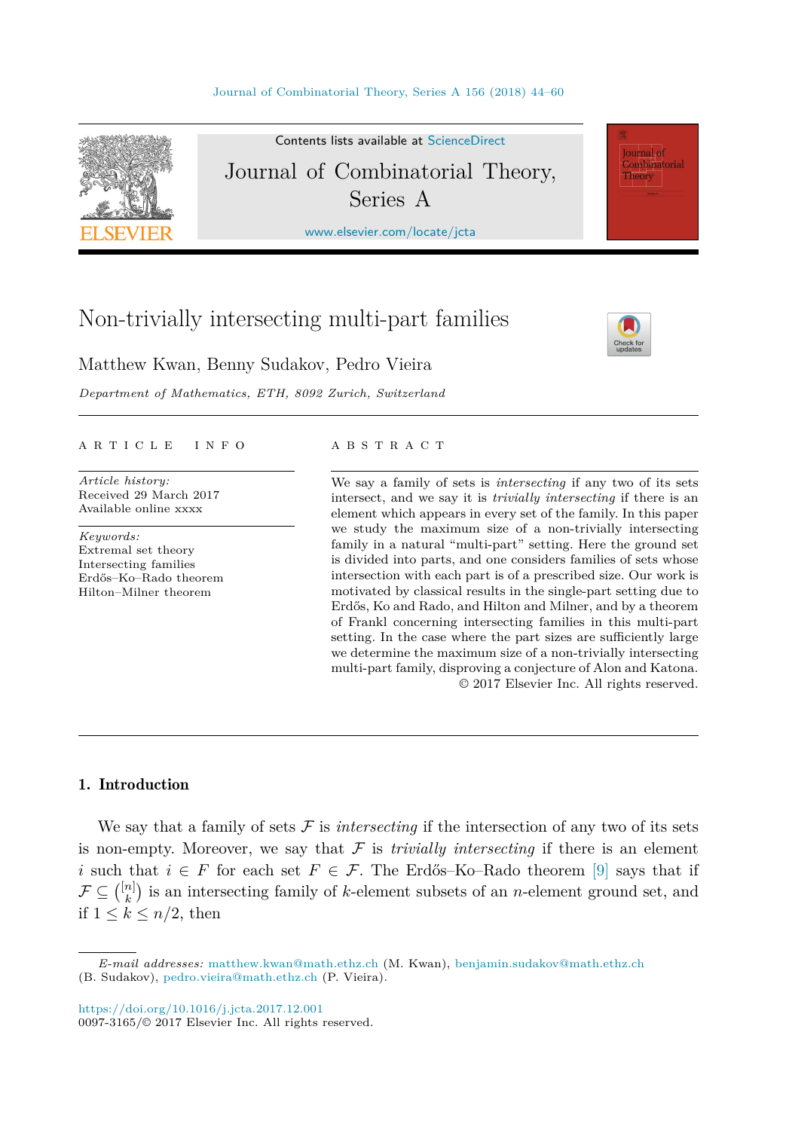

Contents lists available at [ScienceDirect](http://www.ScienceDirect.com/) Journal of Combinatorial Theory, Series A

[www.elsevier.com/locate/jcta](http://www.elsevier.com/locate/jcta)

# Non-trivially intersecting multi-part families

**Journal** of Combinatorial Theory

Matthew Kwan, Benny Sudakov, Pedro Vieira

*Department of Mathematics, ETH, 8092 Zurich, Switzerland*

# A R T I C L E I N F O A B S T R A C T

*Article history:* Received 29 March 2017 Available online xxxx

*Keywords:* Extremal set theory Intersecting families Erdős–Ko–Rado theorem Hilton–Milner theorem

We say a family of sets is *intersecting* if any two of its sets intersect, and we say it is *trivially intersecting* if there is an element which appears in every set of the family. In this paper we study the maximum size of a non-trivially intersecting family in a natural "multi-part" setting. Here the ground set is divided into parts, and one considers families of sets whose intersection with each part is of a prescribed size. Our work is motivated by classical results in the single-part setting due to Erdős, Ko and Rado, and Hilton and Milner, and by a theorem of Frankl concerning intersecting families in this multi-part setting. In the case where the part sizes are sufficiently large we determine the maximum size of a non-trivially intersecting multi-part family, disproving a conjecture of Alon and Katona. © 2017 Elsevier Inc. All rights reserved.

# 1. Introduction

We say that a family of sets  $\mathcal F$  is *intersecting* if the intersection of any two of its sets is non-empty. Moreover, we say that  $\mathcal F$  is *trivially intersecting* if there is an element *i* such that *i* ∈ *F* for each set  $F \text{ } \in \mathcal{F}$ . The Erdős–Ko–Rado theorem [\[9\]](#page-16-0) says that if  $\mathcal{F} \subseteq \binom{[n]}{k}$  is an intersecting family of *k*-element subsets of an *n*-element ground set, and if  $1 \leq k \leq n/2$ , then

*E-mail addresses:* [matthew.kwan@math.ethz.ch](mailto:matthew.kwan@math.ethz.ch) (M. Kwan), [benjamin.sudakov@math.ethz.ch](mailto:benjamin.sudakov@math.ethz.ch) (B. Sudakov), [pedro.vieira@math.ethz.ch](mailto:pedro.vieira@math.ethz.ch) (P. Vieira).

<sup>0097-3165/©</sup> 2017 Elsevier Inc. All rights reserved.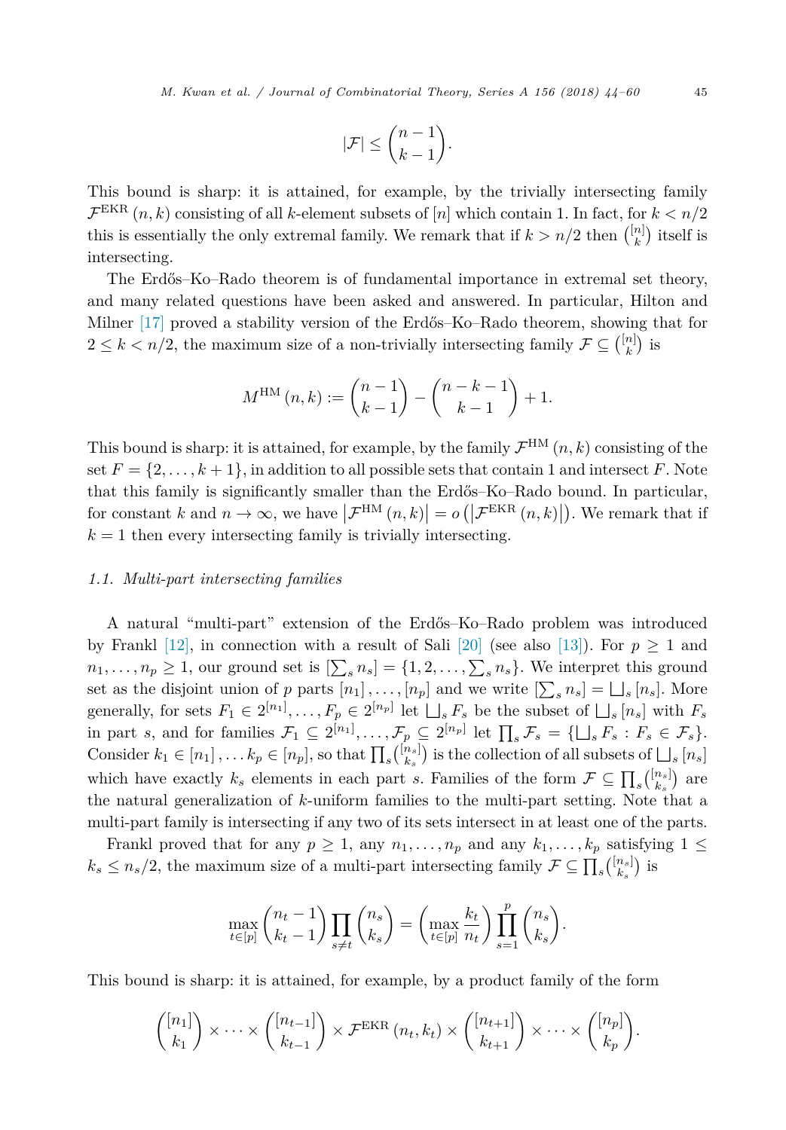$$
|\mathcal{F}| \leq {n-1 \choose k-1}.
$$

This bound is sharp: it is attained, for example, by the trivially intersecting family  $\mathcal{F}^{\text{EKR}}(n,k)$  consisting of all *k*-element subsets of [*n*] which contain 1. In fact, for  $k < n/2$ this is essentially the only extremal family. We remark that if  $k > n/2$  then  $\binom{\lfloor n \rfloor}{k}$  itself is intersecting.

The Erdős–Ko–Rado theorem is of fundamental importance in extremal set theory, and many related questions have been asked and answered. In particular, Hilton and Milner [\[17\]](#page-16-0) proved a stability version of the Erdős–Ko–Rado theorem, showing that for  $2 \leq k < n/2$ , the maximum size of a non-trivially intersecting family  $\mathcal{F} \subseteq \binom{[n]}{k}$  is

$$
M^{\text{HM}}(n,k) := \binom{n-1}{k-1} - \binom{n-k-1}{k-1} + 1.
$$

This bound is sharp: it is attained, for example, by the family  $\mathcal{F}^{HM}(n,k)$  consisting of the set  $F = \{2, \ldots, k+1\}$ , in addition to all possible sets that contain 1 and intersect *F*. Note that this family is significantly smaller than the Erdős–Ko–Rado bound. In particular, for constant *k* and  $n \to \infty$ , we have  $|\mathcal{F}^{\text{HM}}(n,k)| = o(|\mathcal{F}^{\text{EKR}}(n,k)|)$ . We remark that if  $k = 1$  then every intersecting family is trivially intersecting.

### *1.1. Multi-part intersecting families*

A natural "multi-part" extension of the Erdős–Ko–Rado problem was introduced by Frankl [\[12\],](#page-16-0) in connection with a result of Sali [\[20\]](#page-16-0) (see also [\[13\]\)](#page-16-0). For  $p \ge 1$  and  $n_1, \ldots, n_p \geq 1$ , our ground set is  $[\sum_s n_s] = \{1, 2, \ldots, \sum_s n_s\}$ . We interpret this ground set as the disjoint union of *p* parts  $[n_1], \ldots, [n_p]$  and we write  $[\sum_s n_s] = \bigsqcup_s [n_s]$ . More generally, for sets  $F_1 \in 2^{[n_1]}, \ldots, F_p \in 2^{[n_p]}$  let  $\bigsqcup_s F_s$  be the subset of  $\bigsqcup_s [n_s]$  with  $F_s$ <br>in part s, and for families  $\mathcal{F} \subset 2^{[n_1]}$   $\mathcal{F} \subset 2^{[n_p]}$  let  $\Pi$   $\mathcal{F} \subset \{1, 1, F\}$ .  $F \subset \mathcal{F}$ in part *s*, and for families  $\mathcal{F}_1 \subseteq 2^{[n_1]}, \ldots, \mathcal{F}_p \subseteq 2^{[n_p]}$  let  $\prod_s \mathcal{F}_s = \{\bigsqcup_s F_s : F_s \in \mathcal{F}_s\}.$ <br>Consider  $h \subseteq [n_1, \ldots, n_k]$  is the solution of all subsets of  $\bigsqcup_s [n_s]$ Consider  $k_1 \in [n_1], \ldots k_p \in [n_p]$ , so that  $\prod_s {[n_s] \choose k_s}$  is the collection of all subsets of  $\bigsqcup_s [n_s]$ which have exactly  $k_s$  elements in each part *s*. Families of the form  $\mathcal{F} \subseteq \prod_s {\binom{[n_s]}{k_s}}$  are the natural generalization of *k*-uniform families to the multi-part setting. Note that a multi-part family is intersecting if any two of its sets intersect in at least one of the parts.

Frankl proved that for any  $p \ge 1$ , any  $n_1, \ldots, n_p$  and any  $k_1, \ldots, k_p$  satisfying  $1 \le$  $k_s \leq n_s/2$ , the maximum size of a multi-part intersecting family  $\mathcal{F} \subseteq \prod_s {\binom{[n_s]}{k_s}}$  is

$$
\max_{t \in [p]} \binom{n_t - 1}{k_t - 1} \prod_{s \neq t} \binom{n_s}{k_s} = \left( \max_{t \in [p]} \frac{k_t}{n_t} \right) \prod_{s = 1}^p \binom{n_s}{k_s}.
$$

This bound is sharp: it is attained, for example, by a product family of the form

$$
\binom{[n_1]}{k_1} \times \cdots \times \binom{[n_{t-1}]}{k_{t-1}} \times \mathcal{F}^{\text{EKR}}(n_t, k_t) \times \binom{[n_{t+1}]}{k_{t+1}} \times \cdots \times \binom{[n_p]}{k_p}.
$$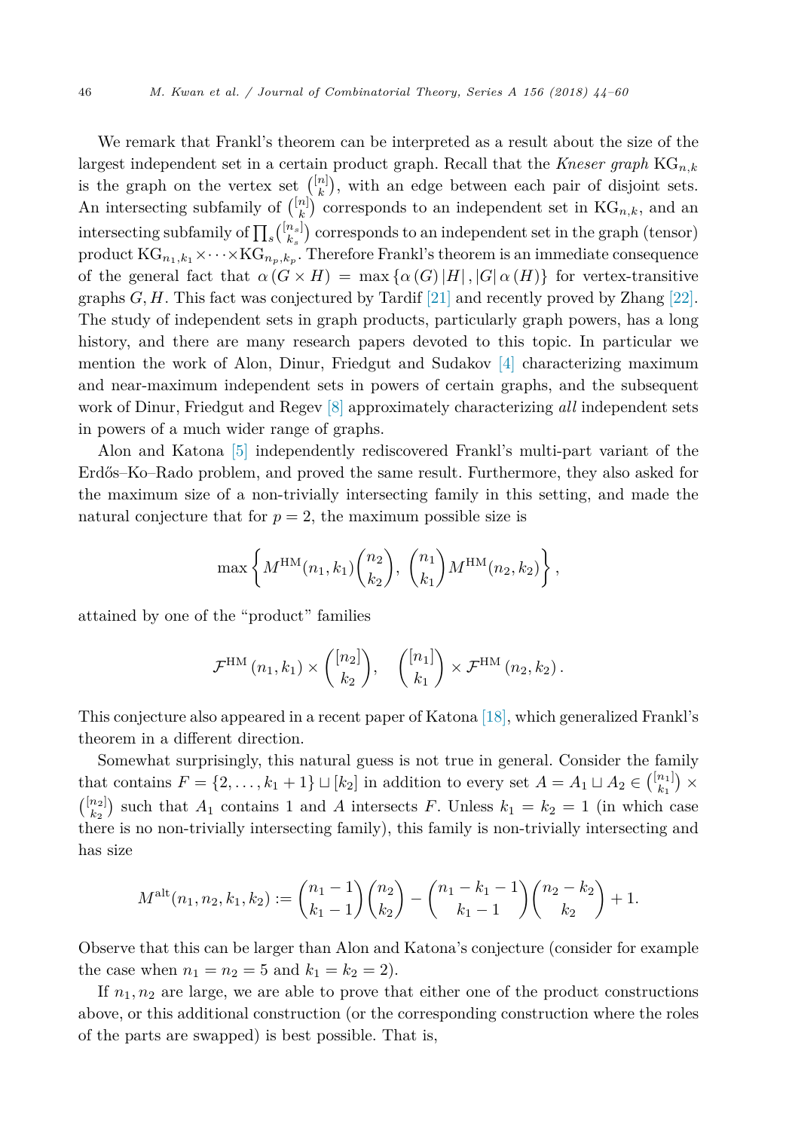We remark that Frankl's theorem can be interpreted as a result about the size of the largest independent set in a certain product graph. Recall that the *Kneser graph* KG*n,k* is the graph on the vertex set  $\binom{[n]}{k}$ , with an edge between each pair of disjoint sets. An intersecting subfamily of  $\binom{[n]}{k}$  corresponds to an independent set in KG<sub>n,k</sub>, and an intersecting subfamily of  $\prod_s {\binom{[n_s]}{k_s}}$  corresponds to an independent set in the graph (tensor) product  $\text{KG}_{n_1,k_1}\times\cdots\times\text{KG}_{n_p,k_p}$ . Therefore Frankl's theorem is an immediate consequence of the general fact that  $\alpha(G \times H) = \max{\{\alpha(G)|H|, |G|\alpha(H)\}}$  for vertex-transitive graphs *G, H*. This fact was conjectured by Tardif [\[21\]](#page-16-0) and recently proved by Zhang [\[22\].](#page-16-0) The study of independent sets in graph products, particularly graph powers, has a long history, and there are many research papers devoted to this topic. In particular we mention the work of Alon, Dinur, Friedgut and Sudakov [\[4\]](#page-15-0) characterizing maximum and near-maximum independent sets in powers of certain graphs, and the subsequent work of Dinur, Friedgut and Regev [\[8\]](#page-16-0) approximately characterizing *all* independent sets in powers of a much wider range of graphs.

Alon and Katona [\[5\]](#page-15-0) independently rediscovered Frankl's multi-part variant of the Erdős–Ko–Rado problem, and proved the same result. Furthermore, they also asked for the maximum size of a non-trivially intersecting family in this setting, and made the natural conjecture that for  $p = 2$ , the maximum possible size is

$$
\max\left\{M^{\text{HM}}(n_1,k_1)\binom{n_2}{k_2},\binom{n_1}{k_1}M^{\text{HM}}(n_2,k_2)\right\},\,
$$

attained by one of the "product" families

$$
\mathcal{F}^{\rm HM}\left(n_1,k_1\right) \times \binom{[n_2]}{k_2}, \quad \binom{[n_1]}{k_1} \times \mathcal{F}^{\rm HM}\left(n_2,k_2\right).
$$

This conjecture also appeared in a recent paper of Katona [\[18\],](#page-16-0) which generalized Frankl's theorem in a different direction.

Somewhat surprisingly, this natural guess is not true in general. Consider the family that contains  $F = \{2, \ldots, k_1 + 1\} \sqcup [k_2]$  in addition to every set  $A = A_1 \sqcup A_2 \in \binom{[n_1]}{k_1} \times$  $\binom{[n_2]}{k_2}$  such that  $A_1$  contains 1 and  $A$  intersects  $F$ . Unless  $k_1 = k_2 = 1$  (in which case there is no non-trivially intersecting family), this family is non-trivially intersecting and has size

$$
M^{\text{alt}}(n_1, n_2, k_1, k_2) := {n_1 - 1 \choose k_1 - 1} {n_2 \choose k_2} - {n_1 - k_1 - 1 \choose k_1 - 1} {n_2 - k_2 \choose k_2} + 1.
$$

Observe that this can be larger than Alon and Katona's conjecture (consider for example the case when  $n_1 = n_2 = 5$  and  $k_1 = k_2 = 2$ .

If  $n_1, n_2$  are large, we are able to prove that either one of the product constructions above, or this additional construction (or the corresponding construction where the roles of the parts are swapped) is best possible. That is,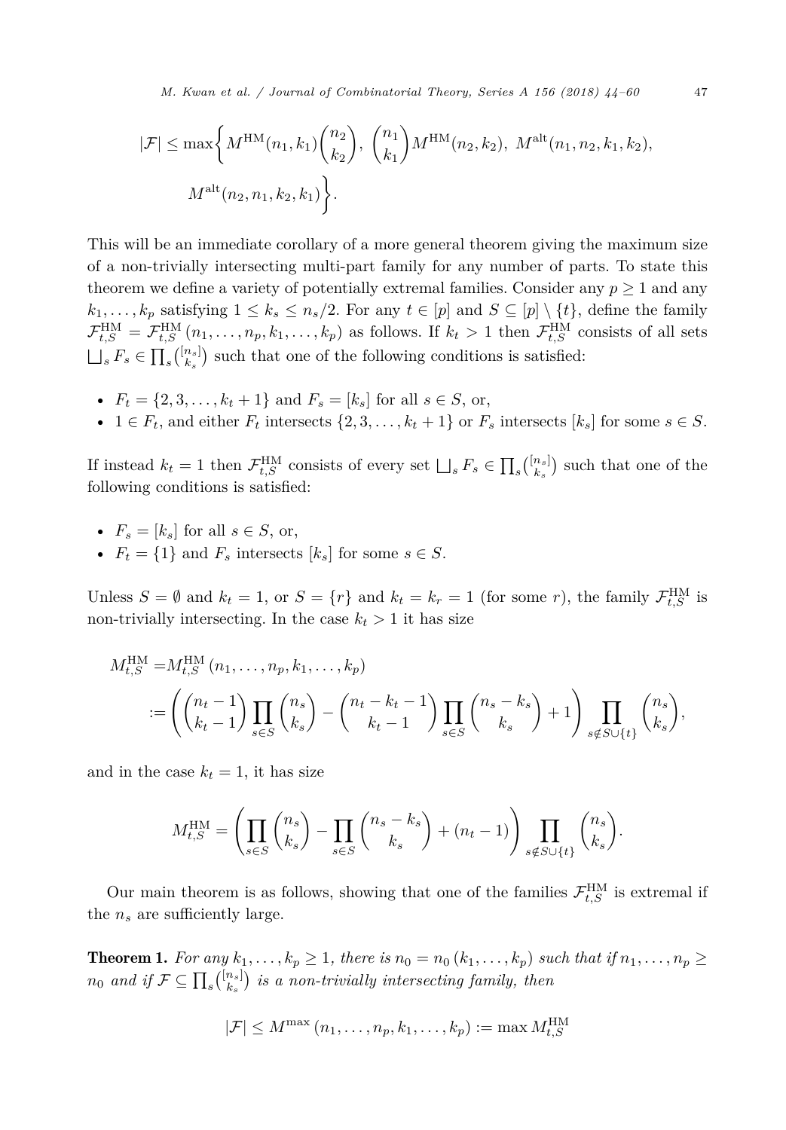<span id="page-3-0"></span>*M. Kwan et al. / Journal of Combinatorial Theory, Series A 156 (2018) 44–60* 47

$$
|\mathcal{F}| \le \max\bigg\{ M^{\text{HM}}(n_1, k_1) \binom{n_2}{k_2}, \binom{n_1}{k_1} M^{\text{HM}}(n_2, k_2), M^{\text{alt}}(n_1, n_2, k_1, k_2), M^{\text{alt}}(n_2, n_1, k_2, k_1) \bigg\}.
$$

This will be an immediate corollary of a more general theorem giving the maximum size of a non-trivially intersecting multi-part family for any number of parts. To state this theorem we define a variety of potentially extremal families. Consider any  $p \geq 1$  and any  $k_1, \ldots, k_p$  satisfying  $1 \leq k_s \leq n_s/2$ . For any  $t \in [p]$  and  $S \subseteq [p] \setminus \{t\}$ , define the family  $\mathcal{F}_{t,S}^{\text{HM}} = \mathcal{F}_{t,S}^{\text{HM}}(n_1,\ldots,n_p,k_1,\ldots,k_p)$  as follows. If  $k_t > 1$  then  $\mathcal{F}_{t,S}^{\text{HM}}$  consists of all sets  $\Box_s F_s \in \prod_s \binom{[n_s]}{k_s}$  such that one of the following conditions is satisfied:

- $F_t = \{2, 3, \ldots, k_t + 1\}$  and  $F_s = [k_s]$  for all  $s \in S$ , or,
- 1  $\in$   $F_t$ , and either  $F_t$  intersects  $\{2, 3, \ldots, k_t + 1\}$  or  $F_s$  intersects  $[k_s]$  for some  $s \in S$ .

If instead  $k_t = 1$  then  $\mathcal{F}_{t,S}^{\text{HM}}$  consists of every set  $\bigsqcup_s F_s \in \prod_s {n_s \choose k_s}$  such that one of the following conditions is estimated: following conditions is satisfied:

- $F_s = [k_s]$  for all  $s \in S$ , or,
- $F_t = \{1\}$  and  $F_s$  intersects  $[k_s]$  for some  $s \in S$ .

Unless  $S = \emptyset$  and  $k_t = 1$ , or  $S = \{r\}$  and  $k_t = k_r = 1$  (for some *r*), the family  $\mathcal{F}_{t,S}^{\text{HM}}$  is non-trivially intersecting. In the case  $k_t > 1$  it has size

$$
M_{t,S}^{\text{HM}} = M_{t,S}^{\text{HM}}(n_1, \dots, n_p, k_1, \dots, k_p)
$$
  

$$
:= \left( \binom{n_t - 1}{k_t - 1} \prod_{s \in S} \binom{n_s}{k_s} - \binom{n_t - k_t - 1}{k_t - 1} \prod_{s \in S} \binom{n_s - k_s}{k_s} + 1 \right) \prod_{s \notin S \cup \{t\}} \binom{n_s}{k_s},
$$

and in the case  $k_t = 1$ , it has size

$$
M_{t,S}^{\text{HM}} = \left(\prod_{s \in S} \binom{n_s}{k_s} - \prod_{s \in S} \binom{n_s - k_s}{k_s} + (n_t - 1)\right) \prod_{s \notin S \cup \{t\}} \binom{n_s}{k_s}.
$$

Our main theorem is as follows, showing that one of the families  $\mathcal{F}_{t,S}^{\text{HM}}$  is extremal if the  $n_s$  are sufficiently large.

**Theorem 1.** For any  $k_1, \ldots, k_p \ge 1$ , there is  $n_0 = n_0 (k_1, \ldots, k_p)$  such that if  $n_1, \ldots, n_p \ge 1$  $n_0$  *and* if  $\mathcal{F} \subseteq \prod_s {\binom{[n_s]}{k_s}}$  is a non-trivially intersecting family, then

$$
|\mathcal{F}| \le M^{\max}(n_1,\ldots,n_p,k_1,\ldots,k_p) := \max M_{t,S}^{\text{HM}}
$$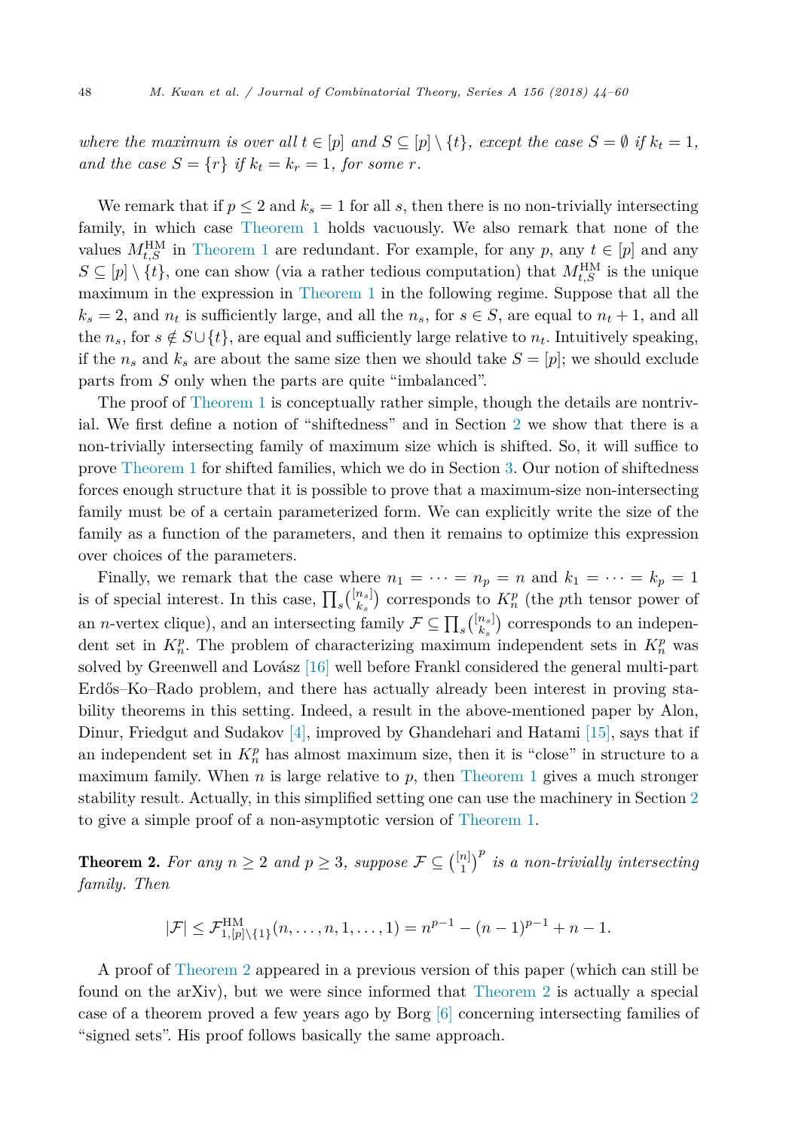<span id="page-4-0"></span>where the maximum is over all  $t \in [p]$  and  $S \subseteq [p] \setminus \{t\}$ , except the case  $S = \emptyset$  if  $k_t = 1$ , *and the case*  $S = \{r\}$  *if*  $k_t = k_r = 1$ *, for some r.* 

We remark that if  $p \leq 2$  and  $k_s = 1$  for all s, then there is no non-trivially intersecting family, in which case [Theorem 1](#page-3-0) holds vacuously. We also remark that none of the values  $M_{t,S}^{\text{HM}}$  in [Theorem 1](#page-3-0) are redundant. For example, for any *p*, any  $t \in [p]$  and any  $S \subseteq [p] \setminus \{t\}$ , one can show (via a rather tedious computation) that  $M_{t,S}^{\text{HM}}$  is the unique maximum in the expression in [Theorem 1](#page-3-0) in the following regime. Suppose that all the  $k_s = 2$ , and  $n_t$  is sufficiently large, and all the  $n_s$ , for  $s \in S$ , are equal to  $n_t + 1$ , and all the  $n_s$ , for  $s \notin S \cup \{t\}$ , are equal and sufficiently large relative to  $n_t$ . Intuitively speaking, if the  $n_s$  and  $k_s$  are about the same size then we should take  $S = [p]$ ; we should exclude parts from *S* only when the parts are quite "imbalanced".

The proof of [Theorem 1](#page-3-0) is conceptually rather simple, though the details are nontrivial. We first define a notion of "shiftedness" and in Section [2](#page-5-0) we show that there is a non-trivially intersecting family of maximum size which is shifted. So, it will suffice to prove [Theorem 1](#page-3-0) for shifted families, which we do in Section [3.](#page-8-0) Our notion of shiftedness forces enough structure that it is possible to prove that a maximum-size non-intersecting family must be of a certain parameterized form. We can explicitly write the size of the family as a function of the parameters, and then it remains to optimize this expression over choices of the parameters.

Finally, we remark that the case where  $n_1 = \cdots = n_p = n$  and  $k_1 = \cdots = k_p = 1$ is of special interest. In this case,  $\prod_s {\binom{[n_s]}{k_s}}$  corresponds to  $K_n^p$  (the *p*th tensor power of an *n*-vertex clique), and an intersecting family  $\mathcal{F} \subseteq \prod_s {\binom{[n_s]}{k_s}}$  corresponds to an independent set in  $K_n^p$ . The problem of characterizing maximum independent sets in  $K_n^p$  was solved by Greenwell and Lovász [\[16\]](#page-16-0) well before Frankl considered the general multi-part Erdős–Ko–Rado problem, and there has actually already been interest in proving stability theorems in this setting. Indeed, a result in the above-mentioned paper by Alon, Dinur, Friedgut and Sudakov [\[4\],](#page-15-0) improved by Ghandehari and Hatami [\[15\],](#page-16-0) says that if an independent set in  $K_n^p$  has almost maximum size, then it is "close" in structure to a maximum family. When  $n$  is large relative to  $p$ , then [Theorem 1](#page-3-0) gives a much stronger stability result. Actually, in this simplified setting one can use the machinery in Section [2](#page-5-0) to give a simple proof of a non-asymptotic version of [Theorem 1.](#page-3-0)

**Theorem 2.** For any  $n \geq 2$  and  $p \geq 3$ , suppose  $\mathcal{F} \subseteq {\binom{[n]}{1}}^p$  is a non-trivially intersecting *family. Then*

$$
|\mathcal{F}| \leq \mathcal{F}_{1,[p]\setminus\{1\}}^{\text{HM}}(n,\ldots,n,1,\ldots,1) = n^{p-1} - (n-1)^{p-1} + n - 1.
$$

A proof of Theorem 2 appeared in a previous version of this paper (which can still be found on the arXiv), but we were since informed that Theorem 2 is actually a special case of a theorem proved a few years ago by Borg [\[6\]](#page-15-0) concerning intersecting families of "signed sets". His proof follows basically the same approach.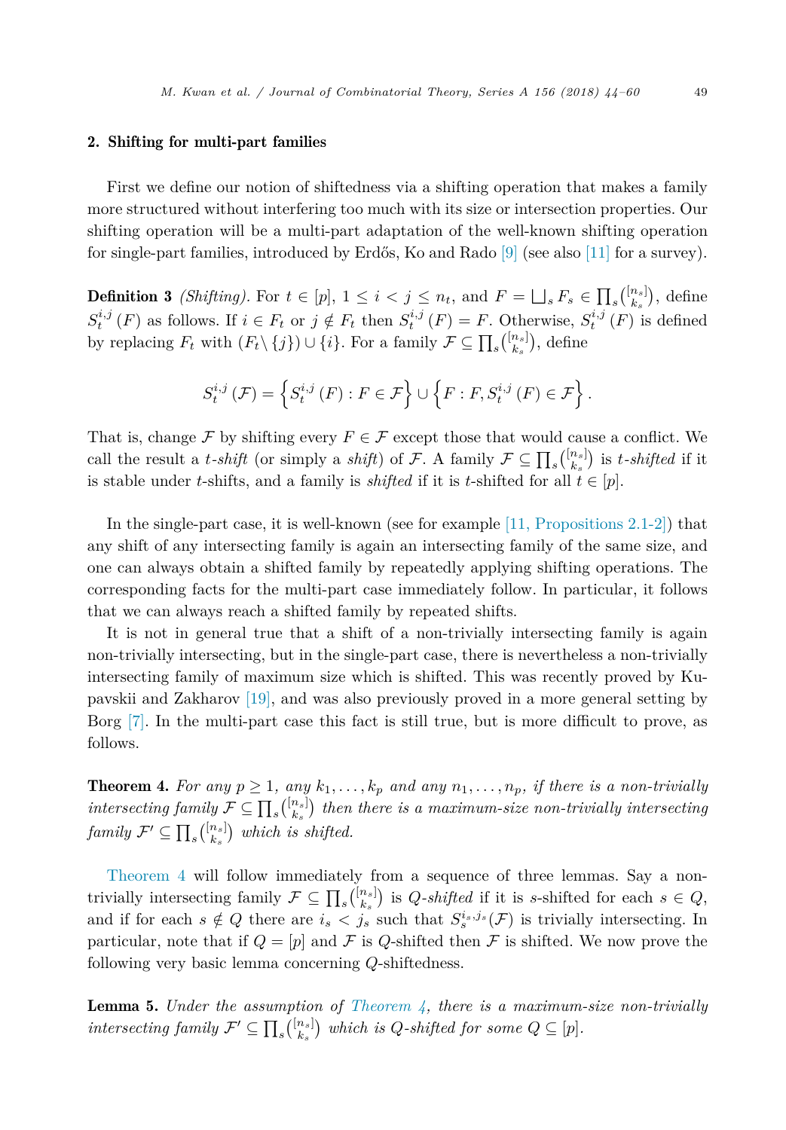#### <span id="page-5-0"></span>2. Shifting for multi-part families

First we define our notion of shiftedness via a shifting operation that makes a family more structured without interfering too much with its size or intersection properties. Our shifting operation will be a multi-part adaptation of the well-known shifting operation for single-part families, introduced by Erdős, Ko and Rado [\[9\]](#page-16-0) (see also [\[11\]](#page-16-0) for a survey).

**Definition 3** *(Shifting)*. For  $t \in [p], 1 \leq i < j \leq n_t$ , and  $F = \bigsqcup_s F_s \in \prod_s {n_s \choose k_s},$  define  $S_t^{i,j}(F)$  as follows. If  $i \in F_t$  or  $j \notin F_t$  then  $S_t^{i,j}(F) = F$ . Otherwise,  $S_t^{i,j}(F)$  is defined by replacing  $F_t$  with  $(F_t \setminus \{j\}) \cup \{i\}$ . For a family  $\mathcal{F} \subseteq \prod_s {\binom{[n_s]}{k_s}}$ , define

$$
S_t^{i,j}\left(\mathcal{F}\right) = \left\{S_t^{i,j}\left(F\right) : F \in \mathcal{F}\right\} \cup \left\{F : F, S_t^{i,j}\left(F\right) \in \mathcal{F}\right\}.
$$

That is, change F by shifting every  $F \in \mathcal{F}$  except those that would cause a conflict. We call the result a *t*-*shift* (or simply a *shift*) of F. A family  $\mathcal{F} \subseteq \prod_s {n_s \choose k_s}$  is *t*-*shifted* if it is stable under *t*-shifts, and a family is *shifted* if it is *t*-shifted for all  $t \in [p]$ .

In the single-part case, it is well-known (see for example  $[11,$  Propositions 2.1-2)) that any shift of any intersecting family is again an intersecting family of the same size, and one can always obtain a shifted family by repeatedly applying shifting operations. The corresponding facts for the multi-part case immediately follow. In particular, it follows that we can always reach a shifted family by repeated shifts.

It is not in general true that a shift of a non-trivially intersecting family is again non-trivially intersecting, but in the single-part case, there is nevertheless a non-trivially intersecting family of maximum size which is shifted. This was recently proved by Kupavskii and Zakharov [\[19\],](#page-16-0) and was also previously proved in a more general setting by Borg [\[7\].](#page-15-0) In the multi-part case this fact is still true, but is more difficult to prove, as follows.

**Theorem 4.** For any  $p \ge 1$ , any  $k_1, \ldots, k_p$  and any  $n_1, \ldots, n_p$ , if there is a non-trivially  $intersecting family \mathcal{F} \subseteq \prod_s {n_s \choose k_s}$  then there is a maximum-size non-trivially intersecting  $family \, \mathcal{F}' \subseteq \prod_s {\binom{[n_s]}{k_s}}\,$  which is shifted.

Theorem 4 will follow immediately from a sequence of three lemmas. Say a nontrivially intersecting family  $\mathcal{F} \subseteq \prod_s {\binom{[n_s]}{k_s}}$  is *Q-shifted* if it is *s*-shifted for each  $s \in Q$ , and if for each  $s \notin Q$  there are  $i_s < j_s$  such that  $S_s^{i_s, j_s}(\mathcal{F})$  is trivially intersecting. In particular, note that if  $Q = [p]$  and F is *Q*-shifted then F is shifted. We now prove the following very basic lemma concerning *Q*-shiftedness.

**Lemma 5.** *Under* the assumption of Theorem  $\lambda$ , there is a maximum-size non-trivially  $intersecting family \mathcal{F}' \subseteq \prod_s {n_s \choose k_s}$  which is *Q*-shifted for some  $Q \subseteq [p]$ .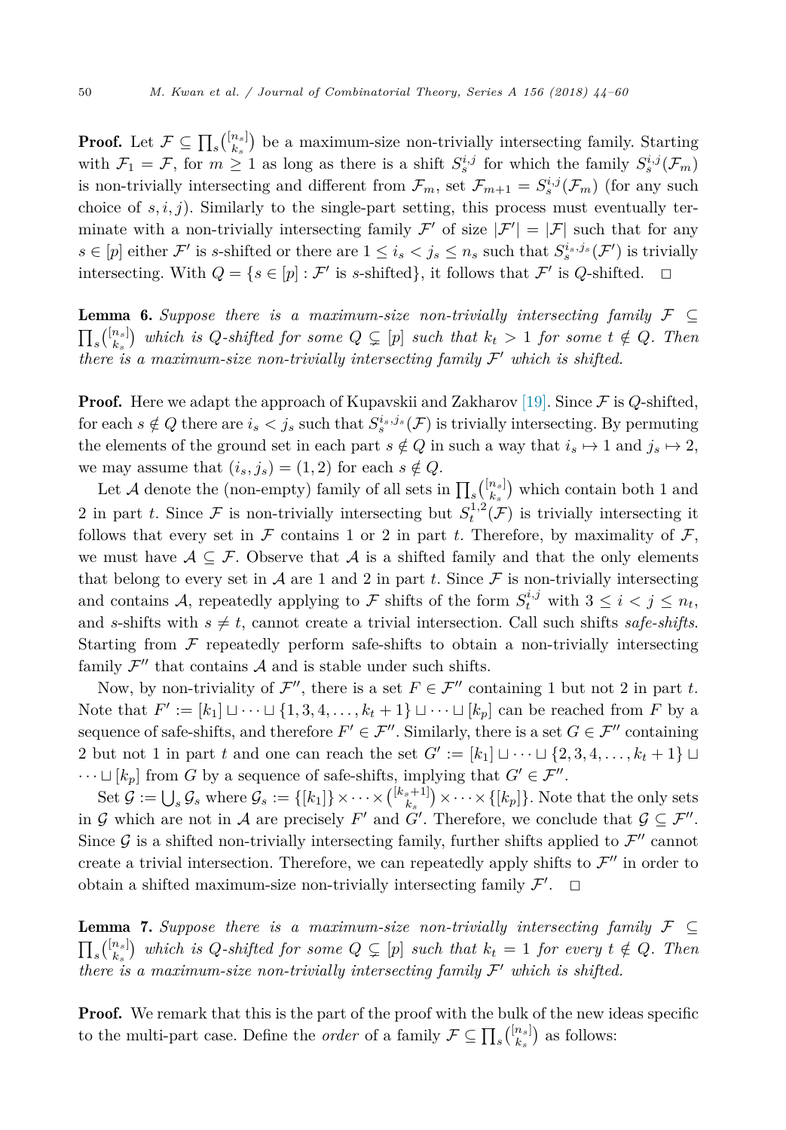<span id="page-6-0"></span>**Proof.** Let  $\mathcal{F} \subseteq \prod_s {n_s \choose k_s}$  be a maximum-size non-trivially intersecting family. Starting with  $\mathcal{F}_1 = \mathcal{F}$ , for  $m \geq 1$  as long as there is a shift  $S_s^{i,j}$  for which the family  $S_s^{i,j}(\mathcal{F}_m)$ is non-trivially intersecting and different from  $\mathcal{F}_m$ , set  $\mathcal{F}_{m+1} = S_s^{i,j}(\mathcal{F}_m)$  (for any such choice of  $s, i, j$ ). Similarly to the single-part setting, this process must eventually terminate with a non-trivially intersecting family  $\mathcal{F}'$  of size  $|\mathcal{F}'| = |\mathcal{F}|$  such that for any  $s \in [p]$  either  $\mathcal{F}'$  is *s*-shifted or there are  $1 \leq i_s < j_s \leq n_s$  such that  $S_s^{i_s,j_s}(\mathcal{F}')$  is trivially intersecting. With  $Q = \{s \in [p] : \mathcal{F}' \text{ is } s\text{-shifted}\},\$ it follows that  $\mathcal{F}'$  is *Q*-shifted.

**Lemma 6.** Suppose there is a maximum-size non-trivially intersecting family  $\mathcal{F} \subseteq$  $\prod_s {\binom{\lfloor n_s\rfloor}{k_s}}$  which is Q-shifted for some  $Q\subsetneq [p]$  such that  $k_t > 1$  for some  $t \notin Q$ . Then *there is* a maximum-size non-trivially intersecting family  $\mathcal{F}'$  which *is* shifted.

**Proof.** Here we adapt the approach of Kupavskii and Zakharov [\[19\].](#page-16-0) Since  $\mathcal F$  is  $Q$ -shifted, for each  $s \notin Q$  there are  $i_s < j_s$  such that  $S_s^{i_s,j_s}(\mathcal{F})$  is trivially intersecting. By permuting the elements of the ground set in each part  $s \notin Q$  in such a way that  $i_s \mapsto 1$  and  $j_s \mapsto 2$ , we may assume that  $(i_s, j_s) = (1, 2)$  for each  $s \notin Q$ .

Let A denote the (non-empty) family of all sets in  $\prod_s {\binom{[n_s]}{k_s}}$  which contain both 1 and 2 in part *t*. Since  $\mathcal F$  is non-trivially intersecting but  $S_t^{1,2}(\mathcal F)$  is trivially intersecting it follows that every set in  $\mathcal F$  contains 1 or 2 in part *t*. Therefore, by maximality of  $\mathcal F$ , we must have  $A \subseteq \mathcal{F}$ . Observe that A is a shifted family and that the only elements that belong to every set in  $\mathcal A$  are 1 and 2 in part  $t$ . Since  $\mathcal F$  is non-trivially intersecting and contains A, repeatedly applying to F shifts of the form  $S_t^{i,j}$  with  $3 \leq i < j \leq n_t$ , and *s*-shifts with  $s \neq t$ , cannot create a trivial intersection. Call such shifts *safe-shifts*. Starting from  $\mathcal F$  repeatedly perform safe-shifts to obtain a non-trivially intersecting family  $\mathcal{F}''$  that contains  $\mathcal A$  and is stable under such shifts.

Now, by non-triviality of  $\mathcal{F}''$ , there is a set  $F \in \mathcal{F}''$  containing 1 but not 2 in part *t*. Note that  $F' := [k_1] \sqcup \cdots \sqcup \{1, 3, 4, \ldots, k_t + 1\} \sqcup \cdots \sqcup [k_p]$  can be reached from *F* by a sequence of safe-shifts, and therefore  $F' \in \mathcal{F}''$ . Similarly, there is a set  $G \in \mathcal{F}''$  containing 2 but not 1 in part *t* and one can reach the set  $G' := [k_1] \sqcup \cdots \sqcup \{2, 3, 4, \ldots, k_t + 1\} \sqcup$  $\cdots \sqcup [k_p]$  from *G* by a sequence of safe-shifts, implying that  $G' \in \mathcal{F}''$ .

Set  $\mathcal{G} := \bigcup_s \mathcal{G}_s$  where  $\mathcal{G}_s := \{[k_1]\} \times \cdots \times \binom{[k_s+1]}{k_s} \times \cdots \times \{[k_p]\}.$  Note that the only sets in G which are not in A are precisely  $F'$  and  $G'$ . Therefore, we conclude that  $\mathcal{G} \subseteq \mathcal{F}''$ . Since  $\mathcal G$  is a shifted non-trivially intersecting family, further shifts applied to  $\mathcal F''$  cannot create a trivial intersection. Therefore, we can repeatedly apply shifts to  $\mathcal{F}''$  in order to obtain a shifted maximum-size non-trivially intersecting family  $\mathcal{F}'$ .  $\Box$ 

**Lemma 7.** Suppose there is a maximum-size non-trivially intersecting family  $\mathcal{F} \subseteq$  $\prod_s {\binom{[n_s]}{k_s}}$  which is Q-shifted for some  $Q \subsetneq [p]$  such that  $k_t = 1$  for every  $t \notin Q$ . Then *there is* a maximum-size non-trivially intersecting family  $\mathcal{F}'$  which *is* shifted.

**Proof.** We remark that this is the part of the proof with the bulk of the new ideas specific to the multi-part case. Define the *order* of a family  $\mathcal{F} \subseteq \prod_s {\binom{[n_s]}{k_s}}$  as follows: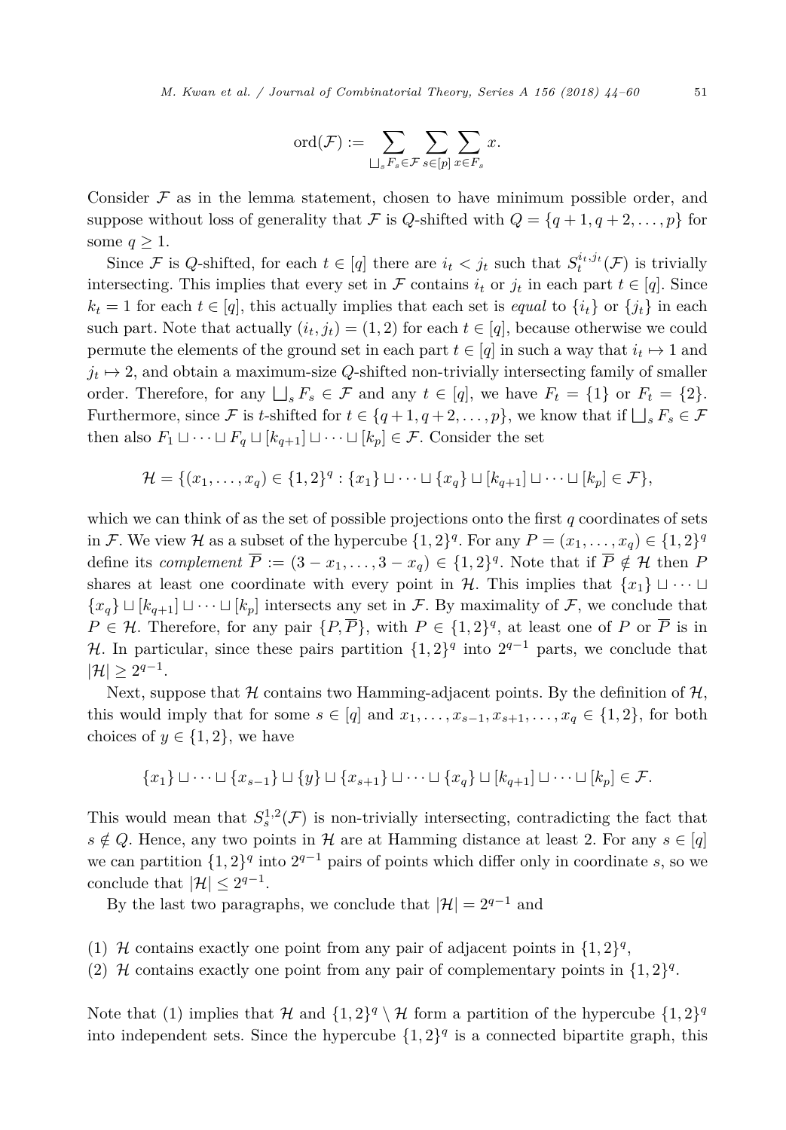$$
\mathrm{ord}(\mathcal{F}):=\sum_{\bigsqcup_{s}F_s\in\mathcal{F}}\sum_{s\in[p]}\sum_{x\in F_s}x.
$$

Consider  $\mathcal F$  as in the lemma statement, chosen to have minimum possible order, and suppose without loss of generality that F is *Q*-shifted with  $Q = \{q + 1, q + 2, \ldots, p\}$  for some  $q > 1$ .

Since F is *Q*-shifted, for each  $t \in [q]$  there are  $i_t < j_t$  such that  $S_t^{i_t, j_t}(\mathcal{F})$  is trivially intersecting. This implies that every set in F contains  $i_t$  or  $j_t$  in each part  $t \in [q]$ . Since  $k_t = 1$  for each  $t \in [q]$ , this actually implies that each set is *equal* to  $\{i_t\}$  or  $\{j_t\}$  in each such part. Note that actually  $(i_t, j_t) = (1, 2)$  for each  $t \in [q]$ , because otherwise we could permute the elements of the ground set in each part  $t \in [q]$  in such a way that  $i_t \mapsto 1$  and  $j_t \mapsto 2$ , and obtain a maximum-size *Q*-shifted non-trivially intersecting family of smaller order. Therefore, for any  $\bigsqcup_s F_s \in \mathcal{F}$  and any  $t \in [q]$ , we have  $F_t = \{1\}$  or  $F_t = \{2\}$ . Furthermore, since F is *t*-shifted for  $t \in \{q+1, q+2, \ldots, p\}$ , we know that if  $\bigsqcup_s F_s \in \mathcal{F}$ then also  $F_1 \sqcup \cdots \sqcup F_q \sqcup [k_{q+1}] \sqcup \cdots \sqcup [k_p] \in \mathcal{F}$ . Consider the set

$$
\mathcal{H} = \{ (x_1, \ldots, x_q) \in \{1, 2\}^q : \{x_1\} \sqcup \cdots \sqcup \{x_q\} \sqcup [k_{q+1}] \sqcup \cdots \sqcup [k_p] \in \mathcal{F} \},\
$$

which we can think of as the set of possible projections onto the first *q* coordinates of sets in F. We view H as a subset of the hypercube  $\{1, 2\}^q$ . For any  $P = (x_1, \ldots, x_q) \in \{1, 2\}^q$ define its *complement*  $\overline{P} := (3 - x_1, \ldots, 3 - x_q) \in \{1, 2\}^q$ . Note that if  $\overline{P} \notin \mathcal{H}$  then *P* shares at least one coordinate with every point in H. This implies that  $\{x_1\} \sqcup \cdots \sqcup$  ${x<sub>q</sub>} \sqcup {k<sub>q+1</sub>} \sqcup \cdots \sqcup {k<sub>p</sub>}$  intersects any set in F. By maximality of F, we conclude that *P* ∈ *H*. Therefore, for any pair  $\{P, \overline{P}\}\$ , with  $P \in \{1, 2\}^q$ , at least one of *P* or  $\overline{P}$  is in H. In particular, since these pairs partition  $\{1,2\}^q$  into  $2^{q-1}$  parts, we conclude that  $|\mathcal{H}| \geq 2^{q-1}$ .

Next, suppose that  $H$  contains two Hamming-adjacent points. By the definition of  $H$ , this would imply that for some  $s \in [q]$  and  $x_1, \ldots, x_{s-1}, x_{s+1}, \ldots, x_q \in \{1, 2\}$ , for both choices of  $y \in \{1,2\}$ , we have

$$
\{x_1\} \sqcup \cdots \sqcup \{x_{s-1}\} \sqcup \{y\} \sqcup \{x_{s+1}\} \sqcup \cdots \sqcup \{x_q\} \sqcup [k_{q+1}] \sqcup \cdots \sqcup [k_p] \in \mathcal{F}.
$$

This would mean that  $S_s^{1,2}(\mathcal{F})$  is non-trivially intersecting, contradicting the fact that  $s \notin Q$ . Hence, any two points in H are at Hamming distance at least 2. For any  $s \in [q]$ we can partition  $\{1,2\}^q$  into  $2^{q-1}$  pairs of points which differ only in coordinate *s*, so we conclude that  $|\mathcal{H}| < 2^{q-1}$ .

By the last two paragraphs, we conclude that  $|\mathcal{H}| = 2^{q-1}$  and

- (1) H contains exactly one point from any pair of adjacent points in  $\{1,2\}^q$ ,
- (2) H contains exactly one point from any pair of complementary points in  $\{1,2\}^q$ .

Note that (1) implies that H and  $\{1,2\}^q \setminus H$  form a partition of the hypercube  $\{1,2\}^q$ into independent sets. Since the hypercube  $\{1,2\}^q$  is a connected bipartite graph, this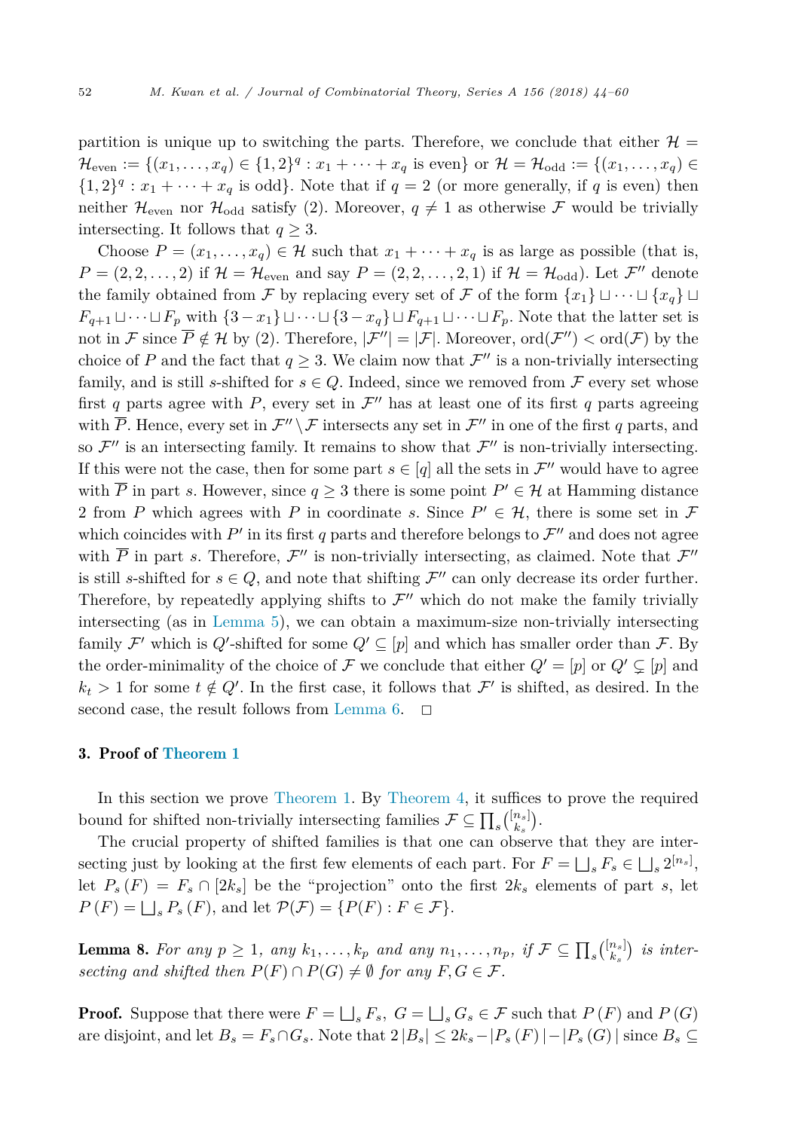<span id="page-8-0"></span>partition is unique up to switching the parts. Therefore, we conclude that either  $\mathcal{H} =$  $\mathcal{H}_{even} := \{(x_1, \ldots, x_q) \in \{1, 2\}^q : x_1 + \cdots + x_q \text{ is even}\} \text{ or } \mathcal{H} = \mathcal{H}_{odd} := \{(x_1, \ldots, x_q) \in$  $\{1,2\}^q : x_1 + \cdots + x_q$  is odd. Note that if  $q = 2$  (or more generally, if q is even) then neither  $\mathcal{H}_{\text{even}}$  nor  $\mathcal{H}_{\text{odd}}$  satisfy (2). Moreover,  $q \neq 1$  as otherwise F would be trivially intersecting. It follows that  $q \geq 3$ .

Choose  $P = (x_1, \ldots, x_q) \in \mathcal{H}$  such that  $x_1 + \cdots + x_q$  is as large as possible (that is,  $P = (2, 2, \ldots, 2)$  if  $\mathcal{H} = \mathcal{H}_{even}$  and say  $P = (2, 2, \ldots, 2, 1)$  if  $\mathcal{H} = \mathcal{H}_{odd}$ . Let  $\mathcal{F}''$  denote the family obtained from F by replacing every set of F of the form  $\{x_1\} \sqcup \cdots \sqcup \{x_q\} \sqcup$ *F*<sub>*q*+1</sub>  $\cup \cdots \cup F_p$  with  $\{3-x_1\} \cup \cdots \cup \{3-x_q\} \cup F_{q+1} \cup \cdots \cup F_p$ . Note that the latter set is not in F since  $\overline{P} \notin \mathcal{H}$  by (2). Therefore,  $|\mathcal{F}''| = |\mathcal{F}|$ . Moreover,  $\text{ord}(\mathcal{F}'') < \text{ord}(\mathcal{F})$  by the choice of *P* and the fact that  $q \geq 3$ . We claim now that  $\mathcal{F}''$  is a non-trivially intersecting family, and is still *s*-shifted for  $s \in Q$ . Indeed, since we removed from F every set whose first *q* parts agree with *P*, every set in  $\mathcal{F}''$  has at least one of its first *q* parts agreeing with  $\overline{P}$ . Hence, every set in  $\mathcal{F}'' \setminus \mathcal{F}$  intersects any set in  $\mathcal{F}''$  in one of the first *q* parts, and so  $\mathcal{F}''$  is an intersecting family. It remains to show that  $\mathcal{F}''$  is non-trivially intersecting. If this were not the case, then for some part  $s \in [q]$  all the sets in  $\mathcal{F}''$  would have to agree with  $\overline{P}$  in part *s*. However, since  $q \geq 3$  there is some point  $P' \in \mathcal{H}$  at Hamming distance 2 from *P* which agrees with *P* in coordinate *s*. Since  $P' \in \mathcal{H}$ , there is some set in *F* which coincides with  $P'$  in its first q parts and therefore belongs to  $\mathcal{F}''$  and does not agree with  $\overline{P}$  in part *s*. Therefore,  $\mathcal{F}''$  is non-trivially intersecting, as claimed. Note that  $\mathcal{F}''$ is still *s*-shifted for  $s \in Q$ , and note that shifting  $\mathcal{F}''$  can only decrease its order further. Therefore, by repeatedly applying shifts to  $\mathcal{F}''$  which do not make the family trivially intersecting (as in [Lemma 5\)](#page-5-0), we can obtain a maximum-size non-trivially intersecting family  $\mathcal{F}'$  which is  $Q'$ -shifted for some  $Q' \subseteq [p]$  and which has smaller order than  $\mathcal{F}$ . By the order-minimality of the choice of  $\mathcal F$  we conclude that either  $Q' = [p]$  or  $Q' \subsetneq [p]$  and  $k_t > 1$  for some  $t \notin Q'$ . In the first case, it follows that  $\mathcal{F}'$  is shifted, as desired. In the second case, the result follows from [Lemma 6.](#page-6-0)  $\Box$ 

# 3. Proof of [Theorem 1](#page-3-0)

In this section we prove [Theorem 1.](#page-3-0) By [Theorem 4,](#page-5-0) it suffices to prove the required bound for shifted non-trivially intersecting families  $\mathcal{F} \subseteq \prod_s {\binom{[n_s]}{k_s}}$ .

The crucial property of shifted families is that one can observe that they are intersecting just by looking at the first few elements of each part. For  $F = \bigsqcup_s F_s \in \bigsqcup_s 2^{[n_s]}$ , let  $B_s(F) = F_s \cap [2h]$  be the "projection" onto the first  $2h$  elements of part. a let let  $P_s(F) = F_s \cap [2k_s]$  be the "projection" onto the first  $2k_s$  elements of part *s*, let  $P(F) = \bigsqcup_{s} P_{s}(F)$ , and let  $\mathcal{P}(\mathcal{F}) = \{P(F) : F \in \mathcal{F}\}.$ 

**Lemma 8.** For any  $p \ge 1$ , any  $k_1, ..., k_p$  and any  $n_1, ..., n_p$ , if  $\mathcal{F} \subseteq \prod_s {[n_s] \choose k_s}$  is inter*secting* and *shifted* then  $P(F) \cap P(G) \neq \emptyset$  for any  $F, G \in \mathcal{F}$ .

**Proof.** Suppose that there were  $F = \bigsqcup_s F_s$ ,  $G = \bigsqcup_s G_s \in \mathcal{F}$  such that  $P(F)$  and  $P(G)$ are disjoint, and let  $B_s = F_s ∩ G_s$ . Note that  $2 |B_s| ≤ 2k_s - |P_s(F)| - |P_s(G)|$  since  $B_s ⊆$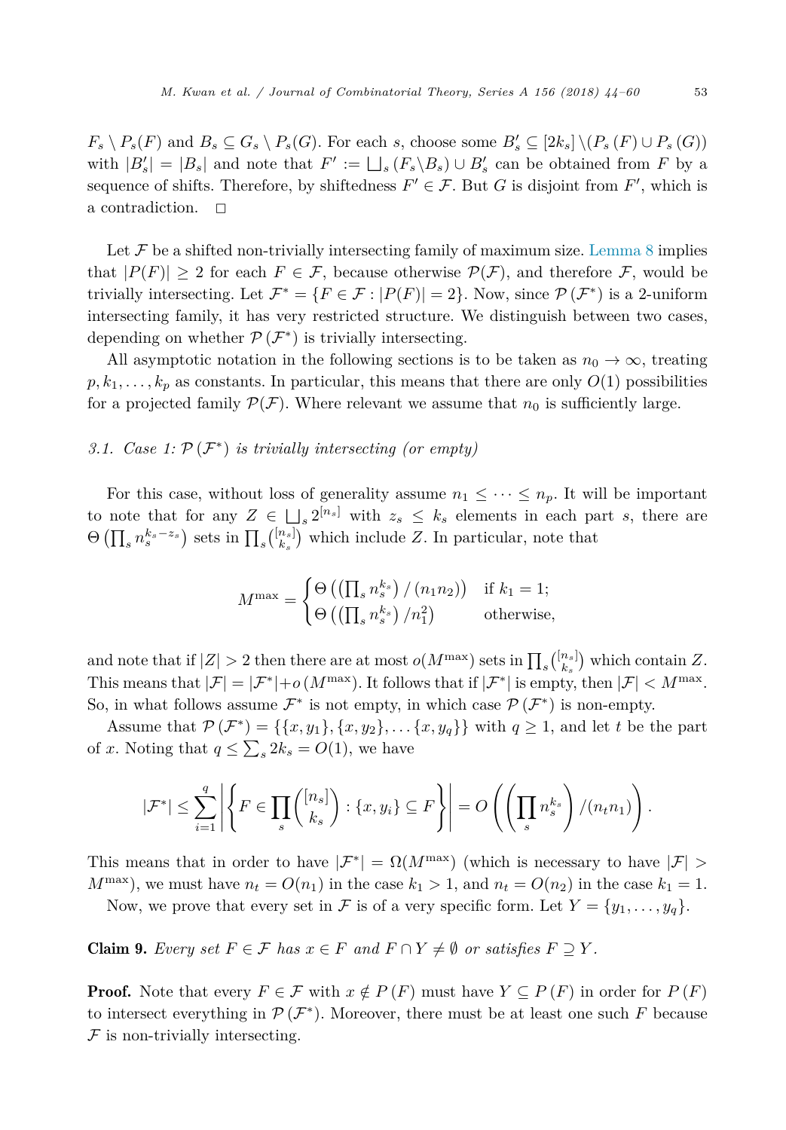$F_s \setminus P_s(F)$  and  $B_s \subseteq G_s \setminus P_s(G)$ . For each s, choose some  $B'_s \subseteq [2k_s] \setminus (P_s(F) \cup P_s(G))$ with  $|B'_s| = |B_s|$  and note that  $F' := \bigsqcup_s (F_s \backslash B_s) \cup B'_s$  can be obtained from  $F$  by a<br>sequence of shifts. Therefore, by shiftedness  $F' \in \mathcal{F}$ . But  $G$  is disjoint from  $F'$  which is sequence of shifts. Therefore, by shiftedness  $F' \in \mathcal{F}$ . But *G* is disjoint from  $F'$ , which is a contradiction.  $\Box$ 

Let  $\mathcal F$  be a shifted non-trivially intersecting family of maximum size. [Lemma 8](#page-8-0) implies that  $|P(F)| \geq 2$  for each  $F \in \mathcal{F}$ , because otherwise  $P(\mathcal{F})$ , and therefore  $\mathcal{F}$ , would be trivially intersecting. Let  $\mathcal{F}^* = \{F \in \mathcal{F} : |P(F)| = 2\}$ . Now, since  $\mathcal{P}(\mathcal{F}^*)$  is a 2-uniform intersecting family, it has very restricted structure. We distinguish between two cases, depending on whether  $\mathcal{P}(\mathcal{F}^*)$  is trivially intersecting.

All asymptotic notation in the following sections is to be taken as  $n_0 \to \infty$ , treating  $p, k_1, \ldots, k_p$  as constants. In particular, this means that there are only  $O(1)$  possibilities for a projected family  $\mathcal{P}(\mathcal{F})$ . Where relevant we assume that  $n_0$  is sufficiently large.

# *3.1. Case 1:* P (F<sup>∗</sup>) *is trivially intersecting (or empty)*

For this case, without loss of generality assume  $n_1 \leq \cdots \leq n_p$ . It will be important to note that for any  $Z \in \bigsqcup_s 2^{[n_s]}$  with  $z_s \leq k_s$  elements in each part *s*, there are  $\Theta\left(\prod_{s} n_s^{k_s-z_s}\right)$  sets in  $\prod_{s} {n_s \choose k_s}$  which include *Z*. In particular, note that

$$
M^{\max} = \begin{cases} \Theta\left(\left(\prod_{s} n_s^{k_s}\right) / (n_1 n_2)\right) & \text{if } k_1 = 1; \\ \Theta\left(\left(\prod_{s} n_s^{k_s}\right) / n_1^2\right) & \text{otherwise,} \end{cases}
$$

and note that if  $|Z| > 2$  then there are at most  $o(M^{\max})$  sets in  $\prod_s {\binom{[n_s]}{k_s}}$  which contain *Z*. This means that  $|\mathcal{F}| = |\mathcal{F}^*| + o(M^{\max})$ . It follows that if  $|\mathcal{F}^*|$  is empty, then  $|\mathcal{F}| < M^{\max}$ . So, in what follows assume  $\mathcal{F}^*$  is not empty, in which case  $\mathcal{P}(\mathcal{F}^*)$  is non-empty.

Assume that  $\mathcal{P}(\mathcal{F}^*) = \{\{x, y_1\}, \{x, y_2\}, \dots \{x, y_q\}\}\$  with  $q \geq 1$ , and let *t* be the part of *x*. Noting that  $q \leq \sum_{s} 2k_s = O(1)$ , we have

$$
|\mathcal{F}^*| \leq \sum_{i=1}^q \left| \left\{ F \in \prod_s {[n_s] \choose k_s} : \{x, y_i\} \subseteq F \right\} \right| = O\left( \left( \prod_s n_s^{k_s} \right) / (n_t n_1) \right).
$$

This means that in order to have  $|\mathcal{F}^*| = \Omega(M^{\max})$  (which is necessary to have  $|\mathcal{F}| >$  $M^{\max}$ , we must have  $n_t = O(n_1)$  in the case  $k_1 > 1$ , and  $n_t = O(n_2)$  in the case  $k_1 = 1$ .

Now, we prove that every set in F is of a very specific form. Let  $Y = \{y_1, \ldots, y_q\}.$ 

**Claim 9.** Every set  $F \in \mathcal{F}$  has  $x \in F$  and  $F \cap Y \neq \emptyset$  or satisfies  $F \supseteq Y$ .

**Proof.** Note that every  $F \in \mathcal{F}$  with  $x \notin P(F)$  must have  $Y \subseteq P(F)$  in order for  $P(F)$ to intersect everything in  $\mathcal{P}(\mathcal{F}^*)$ . Moreover, there must be at least one such *F* because  $F$  is non-trivially intersecting.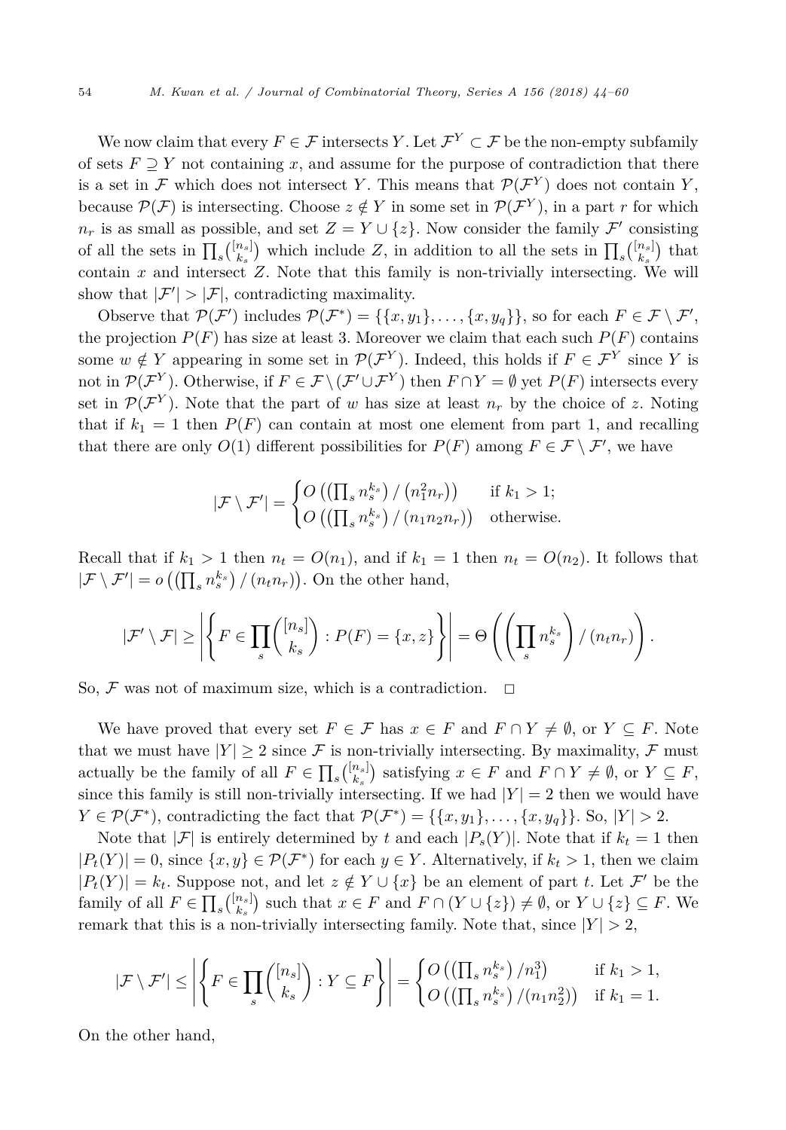We now claim that every  $F \in \mathcal{F}$  intersects *Y*. Let  $\mathcal{F}^Y \subset \mathcal{F}$  be the non-empty subfamily of sets  $F \supset Y$  not containing x, and assume for the purpose of contradiction that there is a set in F which does not intersect Y. This means that  $\mathcal{P}(\mathcal{F}^Y)$  does not contain Y, because  $\mathcal{P}(\mathcal{F})$  is intersecting. Choose  $z \notin Y$  in some set in  $\mathcal{P}(\mathcal{F}^Y)$ , in a part *r* for which  $n_r$  is as small as possible, and set  $Z = Y \cup \{z\}$ . Now consider the family  $\mathcal{F}'$  consisting of all the sets in  $\prod_s {\binom{[n_s]}{k_s}}$  which include Z, in addition to all the sets in  $\prod_s {\binom{[n_s]}{k_s}}$  that contain *x* and intersect *Z*. Note that this family is non-trivially intersecting. We will show that  $|\mathcal{F}'| > |\mathcal{F}|$ , contradicting maximality.

Observe that  $\mathcal{P}(\mathcal{F}')$  includes  $\mathcal{P}(\mathcal{F}^*) = \{\{x, y_1\}, \ldots, \{x, y_q\}\}\)$ , so for each  $F \in \mathcal{F} \setminus \mathcal{F}'$ , the projection  $P(F)$  has size at least 3. Moreover we claim that each such  $P(F)$  contains some  $w \notin Y$  appearing in some set in  $\mathcal{P}(\mathcal{F}^Y)$ . Indeed, this holds if  $F \in \mathcal{F}^Y$  since *Y* is not in  $\mathcal{P}(\mathcal{F}^Y)$ . Otherwise, if  $F \in \mathcal{F} \setminus (\mathcal{F}' \cup \mathcal{F}^Y)$  then  $F \cap Y = \emptyset$  yet  $P(F)$  intersects every set in  $\mathcal{P}(\mathcal{F}^Y)$ . Note that the part of *w* has size at least  $n_r$  by the choice of *z*. Noting that if  $k_1 = 1$  then  $P(F)$  can contain at most one element from part 1, and recalling that there are only  $O(1)$  different possibilities for  $P(F)$  among  $F \in \mathcal{F} \setminus \mathcal{F}'$ , we have

$$
|\mathcal{F} \setminus \mathcal{F}'| = \begin{cases} O\left( \left( \prod_s n_s^{k_s} \right) / \left( n_1^2 n_r \right) \right) & \text{ if } k_1 > 1; \\ O\left( \left( \prod_s n_s^{k_s} \right) / \left( n_1 n_2 n_r \right) \right) & \text{ otherwise.} \end{cases}
$$

Recall that if  $k_1 > 1$  then  $n_t = O(n_1)$ , and if  $k_1 = 1$  then  $n_t = O(n_2)$ . It follows that  $|\mathcal{F} \setminus \mathcal{F}'| = o\left(\left(\prod_s n_s^{k_s}\right) / (n_t n_r)\right)$ . On the other hand,

$$
|\mathcal{F}' \setminus \mathcal{F}| \ge \left| \left\{ F \in \prod_s \binom{[n_s]}{k_s} : P(F) = \{x, z\} \right\} \right| = \Theta \left( \left( \prod_s n_s^{k_s} \right) / (n_t n_r) \right).
$$

So,  $\mathcal F$  was not of maximum size, which is a contradiction.  $\Box$ 

We have proved that every set  $F \in \mathcal{F}$  has  $x \in F$  and  $F \cap Y \neq \emptyset$ , or  $Y \subseteq F$ . Note that we must have  $|Y| \geq 2$  since F is non-trivially intersecting. By maximality, F must actually be the family of all  $F \in \prod_s {[n_s] \choose k_s}$  satisfying  $x \in F$  and  $F \cap Y \neq \emptyset$ , or  $Y \subseteq F$ , since this family is still non-trivially intersecting. If we had  $|Y| = 2$  then we would have  $Y \in \mathcal{P}(\mathcal{F}^*)$ , contradicting the fact that  $\mathcal{P}(\mathcal{F}^*) = \{\{x, y_1\}, \ldots, \{x, y_q\}\}\.$  So,  $|Y| > 2$ .

Note that  $|\mathcal{F}|$  is entirely determined by *t* and each  $|P_s(Y)|$ . Note that if  $k_t = 1$  then  $|P_t(Y)| = 0$ , since  $\{x, y\} \in \mathcal{P}(\mathcal{F}^*)$  for each  $y \in Y$ . Alternatively, if  $k_t > 1$ , then we claim  $|P_t(Y)| = k_t$ . Suppose not, and let  $z \notin Y \cup \{x\}$  be an element of part *t*. Let  $\mathcal{F}'$  be the family of all  $F \in \prod_s {\binom{[n_s]}{k_s}}$  such that  $x \in F$  and  $F \cap (Y \cup \{z\}) \neq \emptyset$ , or  $Y \cup \{z\} \subseteq F$ . We remark that this is a non-trivially intersecting family. Note that, since  $|Y| > 2$ ,

$$
|\mathcal{F} \setminus \mathcal{F}'| \le \left| \left\{ F \in \prod_s {n_s! \choose k_s} : Y \subseteq F \right\} \right| = \left\{ O\left( \left( \prod_s n_s^{k_s} \right) / n_1^3 \right) \quad \text{if } k_1 > 1, \\ O\left( \left( \prod_s n_s^{k_s} \right) / (n_1 n_2^2) \right) \quad \text{if } k_1 = 1.
$$

On the other hand,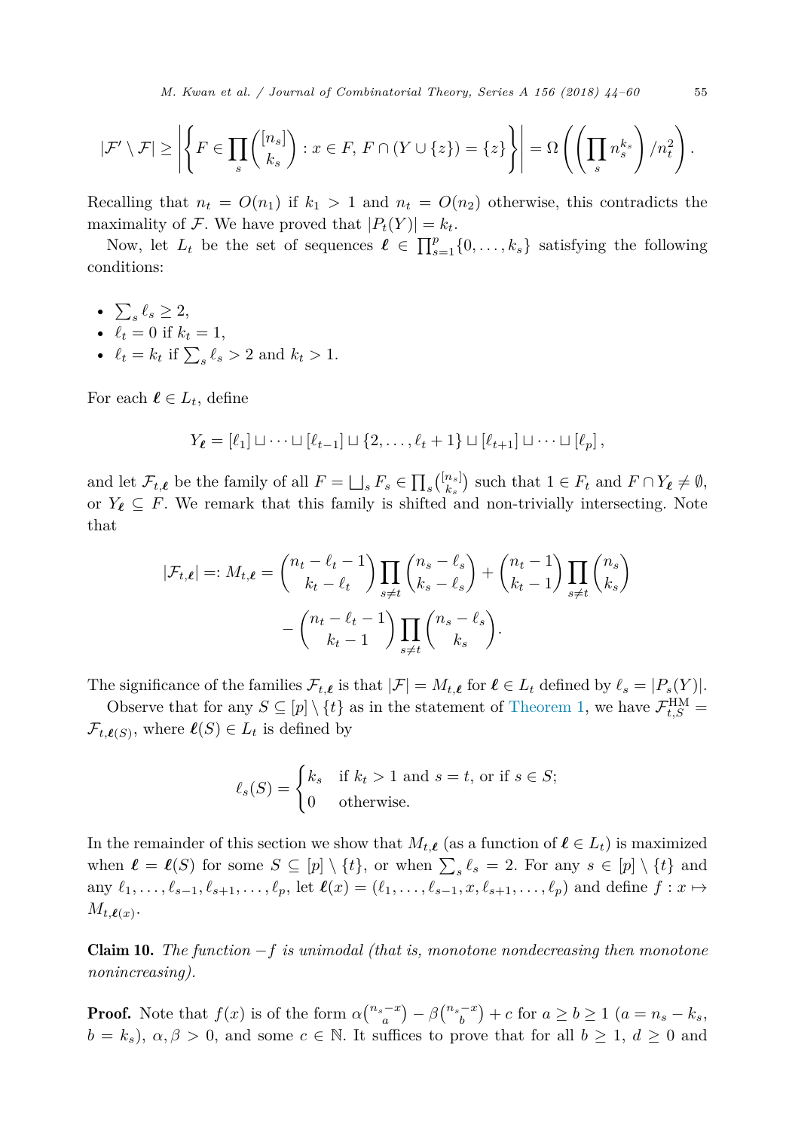*M. Kwan et al. / Journal of Combinatorial Theory, Series A 156 (2018) 44–60* 55

<span id="page-11-0"></span>
$$
|\mathcal{F}'\setminus \mathcal{F}| \ge \left| \left\{ F \in \prod_s \binom{[n_s]}{k_s} : x \in F, \, F \cap (Y \cup \{z\}) = \{z\} \right\} \right| = \Omega \left( \left( \prod_s n_s^{k_s} \right) / n_t^2 \right).
$$

Recalling that  $n_t = O(n_1)$  if  $k_1 > 1$  and  $n_t = O(n_2)$  otherwise, this contradicts the maximality of F. We have proved that  $|P_t(Y)| = k_t$ .

Now, let  $L_t$  be the set of sequences  $\ell \in \prod_{s=1}^p \{0, \ldots, k_s\}$  satisfying the following conditions:

- $\sum_{s} \ell_s \geq 2$ ,
- $\ell_t = 0$  if  $k_t = 1$ ,
- $\ell_t = k_t$  if  $\sum_s \ell_s > 2$  and  $k_t > 1$ .

For each  $\ell \in L_t$ , define

$$
Y_{\ell} = [\ell_1] \sqcup \cdots \sqcup [\ell_{t-1}] \sqcup \{2,\ldots,\ell_t+1\} \sqcup [\ell_{t+1}] \sqcup \cdots \sqcup [\ell_p],
$$

and let  $\mathcal{F}_{t,\ell}$  be the family of all  $F = \bigsqcup_s F_s \in \prod_s \binom{[n_s]}{k_s}$  such that  $1 \in F_t$  and  $F \cap Y_{\ell} \neq \emptyset$ , or  $Y_{\ell} \subseteq F$ . We remark that this family is shifted and non-trivially intersecting. Note that

$$
|\mathcal{F}_{t,\ell}| =: M_{t,\ell} = {n_t - \ell_t - 1 \choose k_t - \ell_t} \prod_{s \neq t} {n_s - \ell_s \choose k_s - \ell_s} + {n_t - 1 \choose k_t - 1} \prod_{s \neq t} {n_s \choose k_s} - {n_t - \ell_t - 1 \choose k_t - 1} \prod_{s \neq t} {n_s - \ell_s \choose k_s}.
$$

The significance of the families  $\mathcal{F}_{t,\ell}$  is that  $|\mathcal{F}| = M_{t,\ell}$  for  $\ell \in L_t$  defined by  $\ell_s = |P_s(Y)|$ .

Observe that for any  $S \subseteq [p] \setminus \{t\}$  as in the statement of [Theorem 1,](#page-3-0) we have  $\mathcal{F}_{t,S}^{\text{HM}} =$  $\mathcal{F}_{t,\ell(S)}$ , where  $\ell(S) \in L_t$  is defined by

$$
\ell_s(S) = \begin{cases} k_s & \text{if } k_t > 1 \text{ and } s = t, \text{ or if } s \in S; \\ 0 & \text{otherwise.} \end{cases}
$$

In the remainder of this section we show that  $M_{t,\ell}$  (as a function of  $\ell \in L_t$ ) is maximized when  $\ell = \ell(S)$  for some  $S \subseteq [p] \setminus \{t\}$ , or when  $\sum_{s} \ell_s = 2$ . For any  $s \in [p] \setminus \{t\}$  and any  $\ell_1, \ldots, \ell_{s-1}, \ell_{s+1}, \ldots, \ell_p$ , let  $\ell(x) = (\ell_1, \ldots, \ell_{s-1}, x, \ell_{s+1}, \ldots, \ell_p)$  and define  $f: x \mapsto$  $M_{t,\boldsymbol{\ell}(x)}$ .

Claim 10. *The function* −*f is unimodal (that is, monotone nondecreasing then monotone nonincreasing).*

**Proof.** Note that  $f(x)$  is of the form  $\alpha {n_s-x \choose a} - \beta {n_s-x \choose b} + c$  for  $a \ge b \ge 1$   $(a=n_s-k_s,$  $b = k_s$ ,  $\alpha, \beta > 0$ , and some  $c \in \mathbb{N}$ . It suffices to prove that for all  $b \ge 1$ ,  $d \ge 0$  and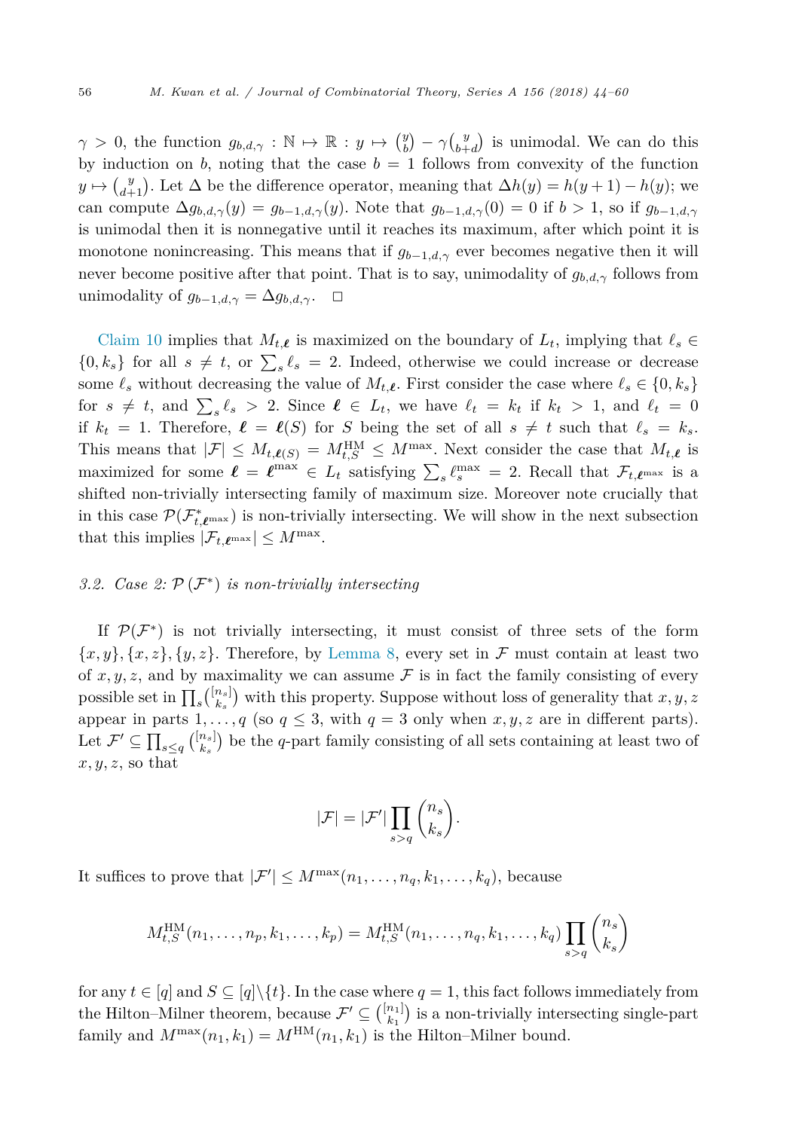<span id="page-12-0"></span> $\gamma > 0$ , the function  $g_{b,d,\gamma}: \mathbb{N} \to \mathbb{R}: y \mapsto {y \choose b} - \gamma {y \choose b+d}$  is unimodal. We can do this by induction on  $b$ , noting that the case  $b = 1$  follows from convexity of the function  $y \mapsto {y \choose d+1}$ . Let  $\Delta$  be the difference operator, meaning that  $\Delta h(y) = h(y+1) - h(y)$ ; we can compute  $\Delta g_{b,d,\gamma}(y) = g_{b-1,d,\gamma}(y)$ . Note that  $g_{b-1,d,\gamma}(0) = 0$  if  $b > 1$ , so if  $g_{b-1,d,\gamma}(y) = g_{b,d,\gamma}(y)$ . is unimodal then it is nonnegative until it reaches its maximum, after which point it is monotone nonincreasing. This means that if  $g_{b-1,d,\gamma}$  ever becomes negative then it will never become positive after that point. That is to say, unimodality of  $g_{b,d,\gamma}$  follows from unimodality of  $g_{b-1,d,\gamma} = \Delta g_{b,d,\gamma}$ .  $\Box$ 

[Claim 10](#page-11-0) implies that  $M_{t,\ell}$  is maximized on the boundary of  $L_t$ , implying that  $\ell_s \in$  $\{0, k_s\}$  for all  $s \neq t$ , or  $\sum_s \ell_s = 2$ . Indeed, otherwise we could increase or decrease some  $\ell_s$  without decreasing the value of  $M_{t,\ell}$ . First consider the case where  $\ell_s \in \{0, k_s\}$ for  $s \neq t$ , and  $\sum_{s} \ell_s > 2$ . Since  $\ell \in L_t$ , we have  $\ell_t = k_t$  if  $k_t > 1$ , and  $\ell_t = 0$ if  $k_t = 1$ . Therefore,  $\ell = \ell(S)$  for *S* being the set of all  $s \neq t$  such that  $\ell_s = k_s$ . This means that  $|\mathcal{F}| \leq M_{t,\ell(S)} = M_{t,S}^{\text{HM}} \leq M^{\text{max}}$ . Next consider the case that  $M_{t,\ell}$  is maximized for some  $\ell = \ell^{\max} \in L_t$  satisfying  $\sum_s \ell_s^{\max} = 2$ . Recall that  $\mathcal{F}_{t,\ell^{\max}}$  is a shifted non-trivially intersecting family of maximum size. Moreover note crucially that in this case  $\mathcal{P}(\mathcal{F}^*_{t,\ell^{\max}})$  is non-trivially intersecting. We will show in the next subsection that this implies  $|\mathcal{F}_{t,\ell^{\max}}| \leq M^{\max}$ .

# *3.2. Case 2:* P (F<sup>∗</sup>) *is non-trivially intersecting*

If  $\mathcal{P}(\mathcal{F}^*)$  is not trivially intersecting, it must consist of three sets of the form  ${x, y}$ ,  ${x, z}$ ,  ${y, z}$ . Therefore, by [Lemma 8,](#page-8-0) every set in F must contain at least two of  $x, y, z$ , and by maximality we can assume  $\mathcal F$  is in fact the family consisting of every possible set in  $\prod_s {\binom{[n_s]}{k_s}}$  with this property. Suppose without loss of generality that *x*, *y*, *z* appear in parts  $1, \ldots, q$  (so  $q \leq 3$ , with  $q = 3$  only when  $x, y, z$  are in different parts). Let  $\mathcal{F}' \subseteq \prod_{s \leq q} {[n_s] \choose k_s}$  be the *q*-part family consisting of all sets containing at least two of  $x, y, z$ , so that

$$
|\mathcal{F}| = |\mathcal{F}'| \prod_{s > q} \binom{n_s}{k_s}.
$$

It suffices to prove that  $|\mathcal{F}'| \leq M^{\max}(n_1, \ldots, n_q, k_1, \ldots, k_q)$ , because

$$
M_{t,S}^{\text{HM}}(n_1,\ldots,n_p,k_1,\ldots,k_p) = M_{t,S}^{\text{HM}}(n_1,\ldots,n_q,k_1,\ldots,k_q) \prod_{s>q} \binom{n_s}{k_s}
$$

for any  $t \in [q]$  and  $S \subseteq [q] \setminus \{t\}$ . In the case where  $q = 1$ , this fact follows immediately from the Hilton–Milner theorem, because  $\mathcal{F}' \subseteq \binom{[n_1]}{k_1}$  is a non-trivially intersecting single-part family and  $M^{\max}(n_1, k_1) = M^{\text{HM}}(n_1, k_1)$  is the Hilton–Milner bound.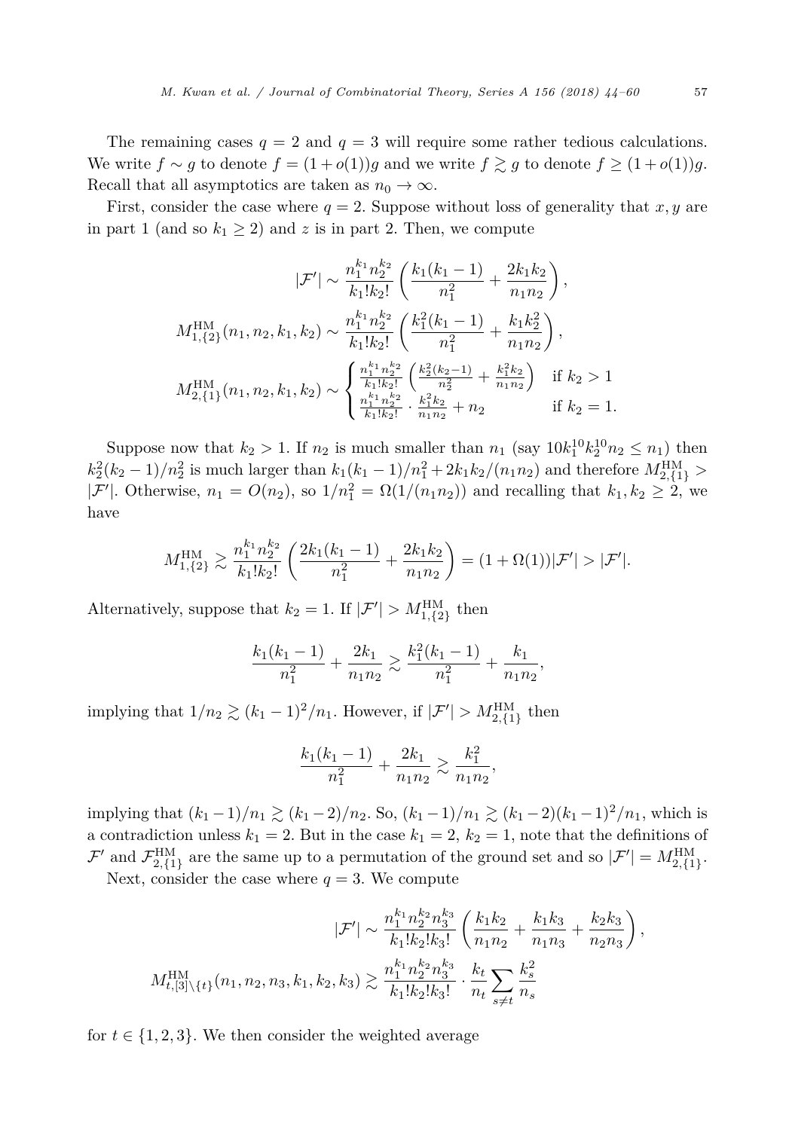The remaining cases  $q = 2$  and  $q = 3$  will require some rather tedious calculations. We write  $f \sim g$  to denote  $f = (1 + o(1))g$  and we write  $f \gtrsim g$  to denote  $f \ge (1 + o(1))g$ . Recall that all asymptotics are taken as  $n_0 \to \infty$ .

First, consider the case where  $q = 2$ . Suppose without loss of generality that  $x, y$  are in part 1 (and so  $k_1 \geq 2$ ) and *z* is in part 2. Then, we compute

$$
|\mathcal{F}'| \sim \frac{n_1^{k_1} n_2^{k_2}}{k_1! k_2!} \left( \frac{k_1(k_1 - 1)}{n_1^2} + \frac{2k_1 k_2}{n_1 n_2} \right),
$$
  

$$
M_{1,\{2\}}^{\text{HM}}(n_1, n_2, k_1, k_2) \sim \frac{n_1^{k_1} n_2^{k_2}}{k_1! k_2!} \left( \frac{k_1^2(k_1 - 1)}{n_1^2} + \frac{k_1 k_2^2}{n_1 n_2} \right),
$$
  

$$
M_{2,\{1\}}^{\text{HM}}(n_1, n_2, k_1, k_2) \sim \begin{cases} \frac{n_1^{k_1} n_2^{k_2}}{k_1! k_2!} \left( \frac{k_2^2(k_2 - 1)}{n_2^2} + \frac{k_1^2 k_2}{n_1 n_2} \right) & \text{if } k_2 > 1, \\ \frac{n_1^{k_1} n_2^{k_2}}{k_1! k_2!} \cdot \frac{k_1^2 k_2}{n_1 n_2} + n_2 & \text{if } k_2 = 1. \end{cases}
$$

Suppose now that  $k_2 > 1$ . If  $n_2$  is much smaller than  $n_1$  (say  $10k_1^{10}k_2^{10}n_2 \leq n_1$ ) then  $k_2^2(k_2 - 1)/n_2^2$  is much larger than  $k_1(k_1 - 1)/n_1^2 + 2k_1k_2/(n_1n_2)$  and therefore  $M_{2,\{1\}}^{\text{HM}} >$  $|\mathcal{F}'|$ . Otherwise,  $n_1 = O(n_2)$ , so  $1/n_1^2 = \Omega(1/(n_1 n_2))$  and recalling that  $k_1, k_2 \ge 2$ , we have

$$
M_{1,\{2\}}^{\text{HM}} \gtrsim \frac{n_1^{k_1} n_2^{k_2}}{k_1! k_2!} \left( \frac{2k_1(k_1 - 1)}{n_1^2} + \frac{2k_1 k_2}{n_1 n_2} \right) = (1 + \Omega(1))|\mathcal{F}'| > |\mathcal{F}'|.
$$

Alternatively, suppose that  $k_2 = 1$ . If  $|\mathcal{F}'| > M_{1,\{2\}}^{\text{HM}}$  then

$$
\frac{k_1(k_1-1)}{n_1^2} + \frac{2k_1}{n_1n_2} \gtrsim \frac{k_1^2(k_1-1)}{n_1^2} + \frac{k_1}{n_1n_2},
$$

implying that  $1/n_2 \gtrsim (k_1 - 1)^2/n_1$ . However, if  $|\mathcal{F}'| > M_{2,\{1\}}^{\text{HM}}$  then

$$
\frac{k_1(k_1-1)}{n_1^2} + \frac{2k_1}{n_1n_2} \gtrsim \frac{k_1^2}{n_1n_2},
$$

implying that  $(k_1 - 1)/n_1 \gtrsim (k_1 - 2)/n_2$ . So,  $(k_1 - 1)/n_1 \gtrsim (k_1 - 2)(k_1 - 1)^2/n_1$ , which is a contradiction unless  $k_1 = 2$ . But in the case  $k_1 = 2$ ,  $k_2 = 1$ , note that the definitions of  $\mathcal{F}'$  and  $\mathcal{F}_{2,\{1\}}^{\text{HM}}$  are the same up to a permutation of the ground set and so  $|\mathcal{F}'| = M_{2,\{1\}}^{\text{HM}}$ .

Next, consider the case where  $q = 3$ . We compute

$$
|\mathcal{F}'| \sim \frac{n_1^{k_1} n_2^{k_2} n_3^{k_3}}{k_1! k_2! k_3!} \left( \frac{k_1 k_2}{n_1 n_2} + \frac{k_1 k_3}{n_1 n_3} + \frac{k_2 k_3}{n_2 n_3} \right),
$$
  

$$
M_{t,[3] \setminus \{t\}}^{\text{HM}}(n_1, n_2, n_3, k_1, k_2, k_3) \gtrsim \frac{n_1^{k_1} n_2^{k_2} n_3^{k_3}}{k_1! k_2! k_3!} \cdot \frac{k_t}{n_t} \sum_{s \neq t} \frac{k_s^2}{n_s}
$$

for  $t \in \{1, 2, 3\}$ . We then consider the weighted average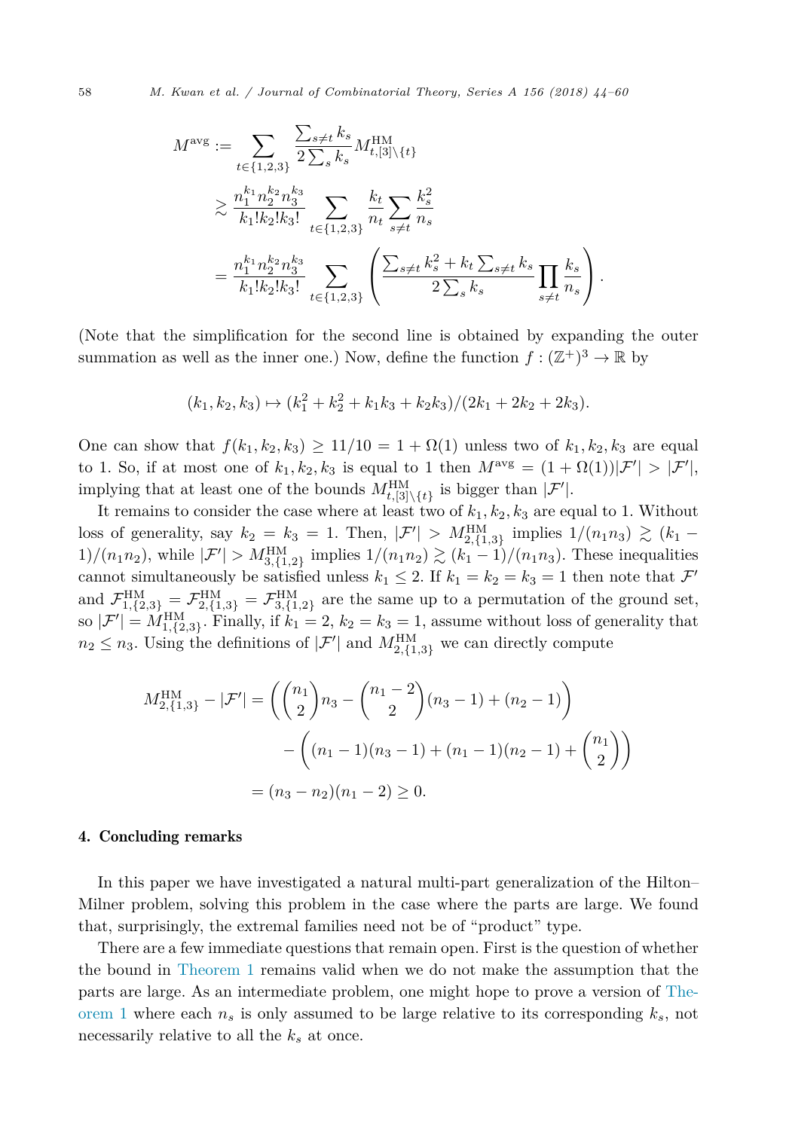$$
M^{\text{avg}} := \sum_{t \in \{1,2,3\}} \frac{\sum_{s \neq t} k_s}{2 \sum_s k_s} M_{t,[3] \setminus \{t\}}^{\text{HM}} \n\geq \frac{n_1^{k_1} n_2^{k_2} n_3^{k_3}}{k_1! k_2! k_3!} \sum_{t \in \{1,2,3\}} \frac{k_t}{n_t} \sum_{s \neq t} \frac{k_s^2}{n_s} \n= \frac{n_1^{k_1} n_2^{k_2} n_3^{k_3}}{k_1! k_2! k_3!} \sum_{t \in \{1,2,3\}} \left( \frac{\sum_{s \neq t} k_s^2 + k_t \sum_{s \neq t} k_s}{2 \sum_s k_s} \prod_{s \neq t} \frac{k_s}{n_s} \right).
$$

(Note that the simplification for the second line is obtained by expanding the outer summation as well as the inner one.) Now, define the function  $f : (\mathbb{Z}^+)^3 \to \mathbb{R}$  by

$$
(k_1, k_2, k_3) \mapsto (k_1^2 + k_2^2 + k_1 k_3 + k_2 k_3) / (2k_1 + 2k_2 + 2k_3).
$$

One can show that  $f(k_1, k_2, k_3) \ge 11/10 = 1 + \Omega(1)$  unless two of  $k_1, k_2, k_3$  are equal to 1. So, if at most one of  $k_1, k_2, k_3$  is equal to 1 then  $M^{\text{avg}} = (1 + \Omega(1))|\mathcal{F}'| > |\mathcal{F}'|$ , implying that at least one of the bounds  $M_{t,[3]\setminus\{t\}}^{\text{HM}}$  is bigger than  $|\mathcal{F}'|$ .

It remains to consider the case where at least two of  $k_1, k_2, k_3$  are equal to 1. Without loss of generality, say  $k_2 = k_3 = 1$ . Then,  $|\mathcal{F}'| > M_{2,\{1,3\}}^{\text{HM}}$  implies  $1/(n_1 n_3) \gtrsim (k_1 - k_1 n_2 n_3)$ 1)/( $n_1 n_2$ ), while  $|\mathcal{F}'| > M_{3,\{1,2\}}^{\text{HM}}$  implies  $1/(n_1 n_2) \gtrsim (k_1 - 1)/(n_1 n_3)$ . These inequalities cannot simultaneously be satisfied unless  $k_1 \leq 2$ . If  $k_1 = k_2 = k_3 = 1$  then note that  $\mathcal{F}'$ and  $\mathcal{F}_{1,\{2,3\}}^{\text{HM}} = \mathcal{F}_{2,\{1,3\}}^{\text{HM}} = \mathcal{F}_{3,\{1,2\}}^{\text{HM}}$  are the same up to a permutation of the ground set, so  $|\mathcal{F}'| = M_{1,\{2,3\}}^{\text{HM}}$ . Finally, if  $k_1 = 2$ ,  $k_2 = k_3 = 1$ , assume without loss of generality that  $n_2 \leq n_3$ . Using the definitions of  $|\mathcal{F}'|$  and  $M_{2,\{1,3\}}^{\text{HM}}$  we can directly compute

$$
M_{2,\{1,3\}}^{\text{HM}} - |\mathcal{F}'| = \left( \binom{n_1}{2} n_3 - \binom{n_1 - 2}{2} (n_3 - 1) + (n_2 - 1) \right)
$$

$$
- \left( (n_1 - 1)(n_3 - 1) + (n_1 - 1)(n_2 - 1) + \binom{n_1}{2} \right)
$$

$$
= (n_3 - n_2)(n_1 - 2) \ge 0.
$$

#### 4. Concluding remarks

In this paper we have investigated a natural multi-part generalization of the Hilton– Milner problem, solving this problem in the case where the parts are large. We found that, surprisingly, the extremal families need not be of "product" type.

There are a few immediate questions that remain open. First is the question of whether the bound in [Theorem 1](#page-3-0) remains valid when we do not make the assumption that the parts are large. As an intermediate problem, one might hope to prove a version of [The](#page-3-0)[orem 1](#page-3-0) where each  $n<sub>s</sub>$  is only assumed to be large relative to its corresponding  $k<sub>s</sub>$ , not necessarily relative to all the *k<sup>s</sup>* at once.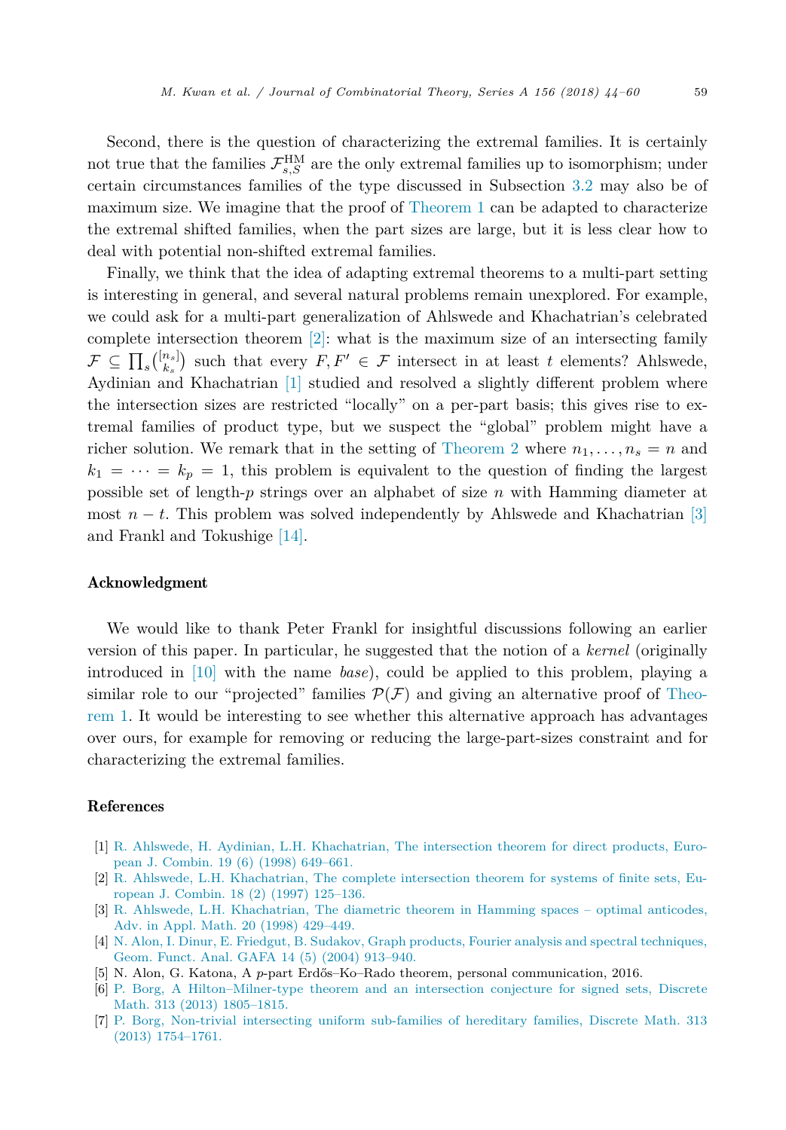<span id="page-15-0"></span>Second, there is the question of characterizing the extremal families. It is certainly not true that the families  $\mathcal{F}_{s,S}^{\text{HM}}$  are the only extremal families up to isomorphism; under certain circumstances families of the type discussed in Subsection [3.2](#page-12-0) may also be of maximum size. We imagine that the proof of [Theorem 1](#page-3-0) can be adapted to characterize the extremal shifted families, when the part sizes are large, but it is less clear how to deal with potential non-shifted extremal families.

Finally, we think that the idea of adapting extremal theorems to a multi-part setting is interesting in general, and several natural problems remain unexplored. For example, we could ask for a multi-part generalization of Ahlswede and Khachatrian's celebrated complete intersection theorem [2]: what is the maximum size of an intersecting family  $\mathcal{F} \subseteq \prod_s {\binom{[n_s]}{k_s}}$  such that every  $F, F' \in \mathcal{F}$  intersect in at least *t* elements? Ahlswede, Aydinian and Khachatrian [1] studied and resolved a slightly different problem where the intersection sizes are restricted "locally" on a per-part basis; this gives rise to extremal families of product type, but we suspect the "global" problem might have a richer solution. We remark that in the setting of [Theorem 2](#page-4-0) where  $n_1, \ldots, n_s = n$  and  $k_1 = \cdots = k_p = 1$ , this problem is equivalent to the question of finding the largest possible set of length-*p* strings over an alphabet of size *n* with Hamming diameter at most  $n - t$ . This problem was solved independently by Ahlswede and Khachatrian [3] and Frankl and Tokushige [\[14\].](#page-16-0)

#### Acknowledgment

We would like to thank Peter Frankl for insightful discussions following an earlier version of this paper. In particular, he suggested that the notion of a *kernel* (originally introduced in [\[10\]](#page-16-0) with the name *base*), could be applied to this problem, playing a similar role to our "projected" families  $\mathcal{P}(\mathcal{F})$  and giving an alternative proof of [Theo](#page-3-0)[rem 1.](#page-3-0) It would be interesting to see whether this alternative approach has advantages over ours, for example for removing or reducing the large-part-sizes constraint and for characterizing the extremal families.

#### References

- [1] R. Ahlswede, H. Aydinian, L.H. [Khachatrian,](http://refhub.elsevier.com/S0097-3165(17)30175-9/bib41414B3938s1) The intersection theorem for direct products, European J. Combin. 19 (6) (1998) [649–661.](http://refhub.elsevier.com/S0097-3165(17)30175-9/bib41414B3938s1)
- [2] R. Ahlswede, L.H. [Khachatrian,](http://refhub.elsevier.com/S0097-3165(17)30175-9/bib414B3937s1) The complete intersection theorem for systems of finite sets, European J. Combin. 18 (2) (1997) [125–136.](http://refhub.elsevier.com/S0097-3165(17)30175-9/bib414B3937s1)
- [3] R. Ahlswede, L.H. [Khachatrian,](http://refhub.elsevier.com/S0097-3165(17)30175-9/bib414B3938s1) The diametric theorem in Hamming spaces optimal anticodes, Adv. in Appl. Math. 20 (1998) [429–449.](http://refhub.elsevier.com/S0097-3165(17)30175-9/bib414B3938s1)
- [4] N. Alon, I. Dinur, E. Friedgut, B. Sudakov, Graph products, Fourier analysis and spectral [techniques,](http://refhub.elsevier.com/S0097-3165(17)30175-9/bib414446533034s1) Geom. Funct. Anal. GAFA 14 (5) (2004) [913–940.](http://refhub.elsevier.com/S0097-3165(17)30175-9/bib414446533034s1)
- [5] N. Alon, G. Katona, A *p*-part Erdős–Ko–Rado theorem, personal communication, 2016.
- [6] P. Borg, A [Hilton–Milner-type](http://refhub.elsevier.com/S0097-3165(17)30175-9/bib426F72313361s1) theorem and an intersection conjecture for signed sets, Discrete Math. 313 (2013) [1805–1815.](http://refhub.elsevier.com/S0097-3165(17)30175-9/bib426F72313361s1)
- [7] P. Borg, Non-trivial intersecting uniform [sub-families](http://refhub.elsevier.com/S0097-3165(17)30175-9/bib426F72313362s1) of hereditary families, Discrete Math. 313 (2013) [1754–1761.](http://refhub.elsevier.com/S0097-3165(17)30175-9/bib426F72313362s1)